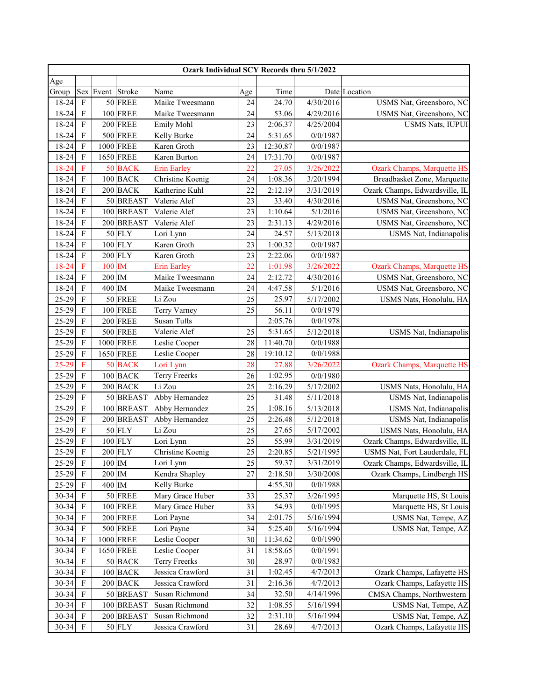|           | Ozark Individual SCY Records thru 5/1/2022 |                  |                 |                      |                 |          |           |                                   |  |  |  |
|-----------|--------------------------------------------|------------------|-----------------|----------------------|-----------------|----------|-----------|-----------------------------------|--|--|--|
| Age       |                                            |                  |                 |                      |                 |          |           |                                   |  |  |  |
| Group     |                                            | Sex Event Stroke |                 | Name                 | Age             | Time     |           | Date Location                     |  |  |  |
| 18-24     | $\rm F$                                    |                  | 50 FREE         | Maike Tweesmann      | 24              | 24.70    | 4/30/2016 | USMS Nat, Greensboro, NC          |  |  |  |
| 18-24     | $\mathbf F$                                |                  | 100 FREE        | Maike Tweesmann      | 24              | 53.06    | 4/29/2016 | USMS Nat, Greensboro, NC          |  |  |  |
| 18-24     | $\mathbf F$                                |                  | <b>200 FREE</b> | Emily Mohl           | 23              | 2:06.37  | 4/25/2004 | <b>USMS Nats, IUPUI</b>           |  |  |  |
| 18-24     | $\mathbf F$                                |                  | <b>500 FREE</b> | Kelly Burke          | 24              | 5:31.65  | 0/0/1987  |                                   |  |  |  |
| 18-24     | $\mathbf F$                                |                  | 1000 FREE       | Karen Groth          | 23              | 12:30.87 | 0/0/1987  |                                   |  |  |  |
| 18-24     | $\mathbf F$                                |                  | 1650 FREE       | Karen Burton         | 24              | 17:31.70 | 0/0/1987  |                                   |  |  |  |
| 18-24     | $\overline{\mathbf{F}}$                    |                  | 50 BACK         | <b>Erin Earley</b>   | 22              | 27.05    | 3/26/2022 | <b>Ozark Champs, Marquette HS</b> |  |  |  |
| 18-24     | $\mathbf F$                                |                  | $100$ BACK      | Christine Koenig     | 24              | 1:08.36  | 3/20/1994 | Breadbasket Zone, Marquette       |  |  |  |
| 18-24     | $\mathbf F$                                |                  | 200 BACK        | Katherine Kuhl       | 22              | 2:12.19  | 3/31/2019 | Ozark Champs, Edwardsville, IL    |  |  |  |
| 18-24     | $\mathbf F$                                |                  | 50 BREAST       | Valerie Alef         | 23              | 33.40    | 4/30/2016 | USMS Nat, Greensboro, NC          |  |  |  |
| 18-24     | $\overline{\mathrm{F}}$                    |                  | 100 BREAST      | Valerie Alef         | 23              | 1:10.64  | 5/1/2016  | USMS Nat, Greensboro, NC          |  |  |  |
| 18-24     | $\mathbf F$                                |                  | 200 BREAST      | Valerie Alef         | 23              | 2:31.13  | 4/29/2016 | USMS Nat, Greensboro, NC          |  |  |  |
| 18-24     | $\mathbf F$                                |                  | $50$ FLY        | Lori Lynn            | 24              | 24.57    | 5/13/2018 | USMS Nat, Indianapolis            |  |  |  |
| 18-24     | $\mathbf F$                                |                  | 100 FLY         | Karen Groth          | 23              | 1:00.32  | 0/0/1987  |                                   |  |  |  |
| 18-24     | $\mathbf F$                                |                  | 200 FLY         | Karen Groth          | 23              | 2:22.06  | 0/0/1987  |                                   |  |  |  |
| 18-24     | $\mathbf F$                                | 100              | <b>IM</b>       | <b>Erin Earley</b>   | $\overline{22}$ | 1:01.98  | 3/26/2022 | Ozark Champs, Marquette HS        |  |  |  |
| 18-24     | $\mathbf F$                                | 200 IM           |                 | Maike Tweesmann      | 24              | 2:12.72  | 4/30/2016 | USMS Nat, Greensboro, NC          |  |  |  |
| 18-24     | $\mathbf F$                                | 400 IM           |                 | Maike Tweesmann      | 24              | 4:47.58  | 5/1/2016  | USMS Nat, Greensboro, NC          |  |  |  |
| 25-29     | $\mathbf F$                                |                  | 50 FREE         | Li Zou               | 25              | 25.97    | 5/17/2002 | USMS Nats, Honolulu, HA           |  |  |  |
| 25-29     | $\mathbf F$                                |                  | <b>100 FREE</b> | Terry Varney         | 25              | 56.11    | 0/0/1979  |                                   |  |  |  |
| 25-29     | $\mathbf F$                                |                  | <b>200 FREE</b> | Susan Tufts          |                 | 2:05.76  | 0/0/1978  |                                   |  |  |  |
| 25-29     | $\mathbf F$                                |                  | <b>500 FREE</b> | Valerie Alef         | 25              | 5:31.65  | 5/12/2018 | USMS Nat, Indianapolis            |  |  |  |
| 25-29     | $\mathbf F$                                |                  | 1000 FREE       | Leslie Cooper        | 28              | 11:40.70 | 0/0/1988  |                                   |  |  |  |
| 25-29     | $\overline{\mathrm{F}}$                    |                  | 1650 FREE       | Leslie Cooper        | 28              | 19:10.12 | 0/0/1988  |                                   |  |  |  |
| $25 - 29$ | $\overline{F}$                             |                  | 50 BACK         | Lori Lynn            | 28              | 27.88    | 3/26/2022 | <b>Ozark Champs, Marquette HS</b> |  |  |  |
| 25-29     | $\mathbf F$                                |                  | $100$ BACK      | <b>Terry Freerks</b> | 26              | 1:02.95  | 0/0/1980  |                                   |  |  |  |
| 25-29     | $\mathbf F$                                |                  | 200 BACK        | Li Zou               | 25              | 2:16.29  | 5/17/2002 | USMS Nats, Honolulu, HA           |  |  |  |
| 25-29     | $\mathbf F$                                |                  | 50 BREAST       | Abby Hernandez       | 25              | 31.48    | 5/11/2018 | USMS Nat, Indianapolis            |  |  |  |
| 25-29     | $\mathbf F$                                |                  | 100 BREAST      | Abby Hernandez       | 25              | 1:08.16  | 5/13/2018 | USMS Nat, Indianapolis            |  |  |  |
| 25-29     | $\mathbf F$                                |                  | 200 BREAST      | Abby Hernandez       | 25              | 2:26.48  | 5/12/2018 | USMS Nat, Indianapolis            |  |  |  |
| 25-29     | $\mathbf F$                                |                  | $50$ FLY        | Li Zou               | 25              | 27.65    | 5/17/2002 | USMS Nats, Honolulu, HA           |  |  |  |
| 25-29     | $\mathbf F$                                |                  | $100$ FLY       | Lori Lynn            | 25              | 55.99    | 3/31/2019 | Ozark Champs, Edwardsville, IL    |  |  |  |
| 25-29     | $\overline{\mathrm{F}}$                    |                  | <b>200 FLY</b>  | Christine Koenig     | 25              | 2:20.85  | 5/21/1995 | USMS Nat, Fort Lauderdale, FL     |  |  |  |
| 25-29     | $\mathbf F$                                | $100$ IM         |                 | Lori Lynn            | 25              | 59.37    | 3/31/2019 | Ozark Champs, Edwardsville, IL    |  |  |  |
| 25-29     | $\mathbf F$                                | 200 IM           |                 | Kendra Shapley       | 27              | 2:18.50  | 3/30/2008 | Ozark Champs, Lindbergh HS        |  |  |  |
| 25-29     | $\mathbf F$                                | 400 IM           |                 | Kelly Burke          |                 | 4:55.30  | 0/0/1988  |                                   |  |  |  |
| $30 - 34$ | $\mathbf F$                                |                  | 50 FREE         | Mary Grace Huber     | 33              | 25.37    | 3/26/1995 | Marquette HS, St Louis            |  |  |  |
| $30 - 34$ | $\mathbf F$                                |                  | <b>100 FREE</b> | Mary Grace Huber     | 33              | 54.93    | 0/0/1995  | Marquette HS, St Louis            |  |  |  |
| 30-34     | $\mathbf F$                                |                  | <b>200 FREE</b> | Lori Payne           | 34              | 2:01.75  | 5/16/1994 | USMS Nat, Tempe, AZ               |  |  |  |
| 30-34     | $\mathbf F$                                |                  | <b>500 FREE</b> | Lori Payne           | 34              | 5:25.40  | 5/16/1994 | USMS Nat, Tempe, AZ               |  |  |  |
| 30-34     | $\mathbf F$                                |                  | 1000 FREE       | Leslie Cooper        | 30              | 11:34.62 | 0/0/1990  |                                   |  |  |  |
| 30-34     | $\overline{\mathrm{F}}$                    |                  | 1650 FREE       | Leslie Cooper        | 31              | 18:58.65 | 0/0/1991  |                                   |  |  |  |
| 30-34     | $\mathbf F$                                |                  | 50 BACK         | <b>Terry Freerks</b> | 30              | 28.97    | 0/0/1983  |                                   |  |  |  |
| 30-34     | $\mathbf F$                                |                  | $100$ BACK      | Jessica Crawford     | 31              | 1:02.45  | 4/7/2013  | Ozark Champs, Lafayette HS        |  |  |  |
| 30-34     | $\mathbf F$                                |                  | 200 BACK        | Jessica Crawford     | 31              | 2:16.36  | 4/7/2013  | Ozark Champs, Lafayette HS        |  |  |  |
| 30-34     | $\mathbf F$                                |                  | 50 BREAST       | Susan Richmond       | 34              | 32.50    | 4/14/1996 | CMSA Champs, Northwestern         |  |  |  |
| $30 - 34$ | $\mathbf F$                                |                  | 100 BREAST      | Susan Richmond       | 32              | 1:08.55  | 5/16/1994 | USMS Nat, Tempe, AZ               |  |  |  |
| $30 - 34$ | $\mathbf F$                                |                  | 200 BREAST      | Susan Richmond       | 32              | 2:31.10  | 5/16/1994 | USMS Nat, Tempe, AZ               |  |  |  |
| 30-34     | $\mathbf F$                                |                  | $50$ FLY        | Jessica Crawford     | 31              | 28.69    | 4/7/2013  | Ozark Champs, Lafayette HS        |  |  |  |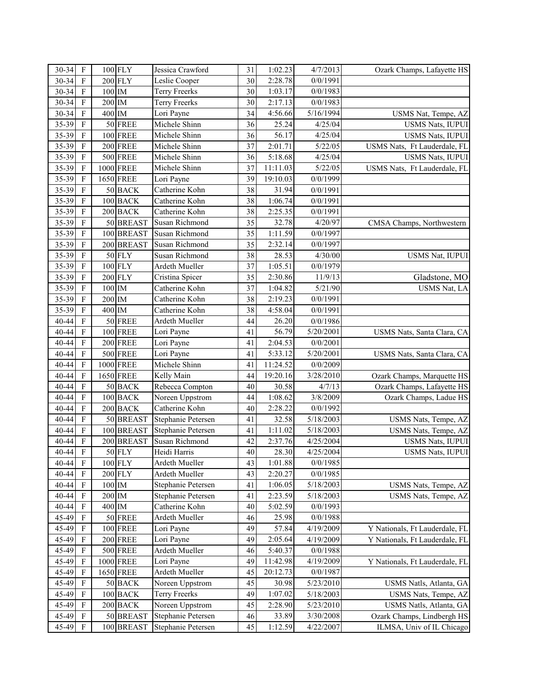| 30-34     | $\mathbf F$               |          | $100$ FLY       | Jessica Crawford     | 31 | 1:02.23  | 4/7/2013  | Ozark Champs, Lafayette HS     |
|-----------|---------------------------|----------|-----------------|----------------------|----|----------|-----------|--------------------------------|
| $30 - 34$ | $\mathbf F$               |          | $200$ FLY       | Leslie Cooper        | 30 | 2:28.78  | 0/0/1991  |                                |
| 30-34     | $\rm F$                   | $100$ IM |                 | <b>Terry Freerks</b> | 30 | 1:03.17  | 0/0/1983  |                                |
| 30-34     | $\rm F$                   | $200$ IM |                 | <b>Terry Freerks</b> | 30 | 2:17.13  | 0/0/1983  |                                |
| 30-34     | $\overline{\mathrm{F}}$   | $400$ IM |                 | Lori Payne           | 34 | 4:56.66  | 5/16/1994 | USMS Nat, Tempe, AZ            |
| 35-39     | $\mathbf F$               |          | 50 FREE         | Michele Shinn        | 36 | 25.24    | 4/25/04   | <b>USMS Nats, IUPUI</b>        |
| 35-39     | $\mathbf F$               |          | $100$ FREE      | Michele Shinn        | 36 | 56.17    | 4/25/04   | <b>USMS Nats, IUPUI</b>        |
| 35-39     | $\overline{\mathrm{F}}$   |          | $200$ FREE      | Michele Shinn        | 37 | 2:01.71  | 5/22/05   | USMS Nats, Ft Lauderdale, FL   |
| 35-39     | $\overline{\mathrm{F}}$   |          | $500$ FREE      | Michele Shinn        | 36 | 5:18.68  | 4/25/04   | USMS Nats, IUPUI               |
| 35-39     | $\mathbf F$               |          | 1000 FREE       | Michele Shinn        | 37 | 11:11.03 | 5/22/05   | USMS Nats, Ft Lauderdale, FL   |
| 35-39     | $\overline{\mathrm{F}}$   |          | 1650 FREE       | Lori Payne           | 39 | 19:10.03 | 0/0/1999  |                                |
| 35-39     | $\overline{F}$            |          | $50$ BACK       | Catherine Kohn       | 38 | 31.94    | 0/0/1991  |                                |
| 35-39     | $\overline{F}$            |          | $100$ BACK      | Catherine Kohn       | 38 | 1:06.74  | 0/0/1991  |                                |
| 35-39     | $\overline{F}$            |          | $200$ BACK      | Catherine Kohn       | 38 | 2:25.35  | 0/0/1991  |                                |
| 35-39     | $\overline{F}$            |          | 50 BREAST       | Susan Richmond       | 35 | 32.78    | 4/20/97   | CMSA Champs, Northwestern      |
| 35-39     | $\mathbf F$               |          | 100 BREAST      | Susan Richmond       | 35 | 1:11.59  | 0/0/1997  |                                |
| 35-39     | $\overline{F}$            |          | 200 BREAST      | Susan Richmond       | 35 | 2:32.14  | 0/0/1997  |                                |
| 35-39     | $\mathbf F$               |          | $50$ FLY        | Susan Richmond       | 38 | 28.53    | 4/30/00   | USMS Nat, IUPUI                |
| 35-39     | $\mathbf F$               |          | $100$ FLY       | Ardeth Mueller       | 37 | 1:05.51  | 0/0/1979  |                                |
| 35-39     | $\mathbf F$               |          | $200$ FLY       | Cristina Spicer      | 35 | 2:30.86  | 11/9/13   | Gladstone, MO                  |
| 35-39     | $\mathbf F$               | $100$ IM |                 | Catherine Kohn       | 37 | 1:04.82  | 5/21/90   | <b>USMS Nat, LA</b>            |
| 35-39     | $\mathbf F$               | $200$ IM |                 | Catherine Kohn       | 38 | 2:19.23  | 0/0/1991  |                                |
| 35-39     | $\overline{F}$            | $400$ IM |                 | Catherine Kohn       | 38 | 4:58.04  | 0/0/1991  |                                |
| 40-44     | $\overline{\mathrm{F}}$   |          | 50 FREE         | Ardeth Mueller       | 44 | 26.20    | 0/0/1986  |                                |
| 40-44     | $\overline{F}$            | 100      | FREE            | Lori Payne           | 41 | 56.79    | 5/20/2001 | USMS Nats, Santa Clara, CA     |
| $40 - 44$ | $\mathbf F$               |          | $200$ FREE      | Lori Payne           | 41 | 2:04.53  | 0/0/2001  |                                |
| $40 - 44$ | $\mathbf F$               |          | $500$ FREE      | Lori Payne           | 41 | 5:33.12  | 5/20/2001 | USMS Nats, Santa Clara, CA     |
| 40-44     | $\overline{F}$            |          | 1000 FREE       | Michele Shinn        | 41 | 11:24.52 | 0/0/2009  |                                |
| 40-44     | $\overline{\mathrm{F}}$   |          | 1650 FREE       | Kelly Main           | 44 | 19:20.16 | 3/28/2010 | Ozark Champs, Marquette HS     |
| 40-44     | $\overline{F}$            |          | 50 BACK         | Rebecca Compton      | 40 | 30.58    | 4/7/13    | Ozark Champs, Lafayette HS     |
| $40 - 44$ | $\overline{F}$            |          | $100$ BACK      | Noreen Uppstrom      | 44 | 1:08.62  | 3/8/2009  | Ozark Champs, Ladue HS         |
| 40-44     | $\overline{\mathrm{F}}$   |          | $200$ BACK      | Catherine Kohn       | 40 | 2:28.22  | 0/0/1992  |                                |
| 40-44     | $\mathbf F$               |          | 50 BREAST       | Stephanie Petersen   | 41 | 32.58    | 5/18/2003 | USMS Nats, Tempe, AZ           |
| 40-44     | $\mathbf F$               |          | 100 BREAST      | Stephanie Petersen   | 41 | 1:11.02  | 5/18/2003 | USMS Nats, Tempe, AZ           |
| 40-44     | $\mathbf F$               |          | 200 BREAST      | Susan Richmond       | 42 | 2:37.76  | 4/25/2004 | <b>USMS Nats, IUPUI</b>        |
| 40-44     | $\overline{\mathrm{F}}$   |          | $50$ FLY        | Heidi Harris         | 40 | 28.30    | 4/25/2004 | USMS Nats, IUPUI               |
| $40 - 44$ | $\mathbf{F}$              |          | $100$ FLY       | Ardeth Mueller       | 43 | 1:01.88  | 0/0/1985  |                                |
| $40 - 44$ | $\mathbf F$               |          | $200$ FLY       | Ardeth Mueller       | 43 | 2:20.27  | 0/0/1985  |                                |
| $40 - 44$ | $\boldsymbol{\mathrm{F}}$ | $100$ IM |                 | Stephanie Petersen   | 41 | 1:06.05  | 5/18/2003 | USMS Nats, Tempe, AZ           |
| 40-44     | $\mathbf{F}$              | $200$ IM |                 | Stephanie Petersen   | 41 | 2:23.59  | 5/18/2003 | USMS Nats, Tempe, AZ           |
| 40-44     | $\boldsymbol{\mathrm{F}}$ | $400$ IM |                 | Catherine Kohn       | 40 | 5:02.59  | 0/0/1993  |                                |
| 45-49     | $\mathbf F$               |          | 50 FREE         | Ardeth Mueller       | 46 | 25.98    | 0/0/1988  |                                |
| 45-49     | $\mathbf F$               |          | $100$ FREE      | Lori Payne           | 49 | 57.84    | 4/19/2009 | Y Nationals, Ft Lauderdale, FL |
| 45-49     | $\mathbf F$               |          | $200$ FREE      | Lori Payne           | 49 | 2:05.64  | 4/19/2009 | Y Nationals, Ft Lauderdale, FL |
| 45-49     | $\mathbf F$               |          | <b>500 FREE</b> | Ardeth Mueller       | 46 | 5:40.37  | 0/0/1988  |                                |
| 45-49     | $\overline{\mathrm{F}}$   |          | $1000$ FREE     | Lori Payne           | 49 | 11:42.98 | 4/19/2009 | Y Nationals, Ft Lauderdale, FL |
| 45-49     | $\rm F$                   |          | $1650$ FREE     | Ardeth Mueller       | 45 | 20:12.73 | 0/0/1987  |                                |
| 45-49     | $\overline{\mathrm{F}}$   |          | $50$ BACK       | Noreen Uppstrom      | 45 | 30.98    | 5/23/2010 | USMS Natls, Atlanta, GA        |
| 45-49     | $\mathbf F$               |          | $100$ BACK      | <b>Terry Freerks</b> | 49 | 1:07.02  | 5/18/2003 | USMS Nats, Tempe, AZ           |
| 45-49     | $\boldsymbol{\mathrm{F}}$ |          | $200$ BACK      | Noreen Uppstrom      | 45 | 2:28.90  | 5/23/2010 | USMS Natls, Atlanta, GA        |
| 45-49     | ${\bf F}$                 |          | 50 BREAST       | Stephanie Petersen   | 46 | 33.89    | 3/30/2008 | Ozark Champs, Lindbergh HS     |
| 45-49     | $\mathbf F$               |          | 100 BREAST      | Stephanie Petersen   | 45 | 1:12.59  | 4/22/2007 | ILMSA, Univ of IL Chicago      |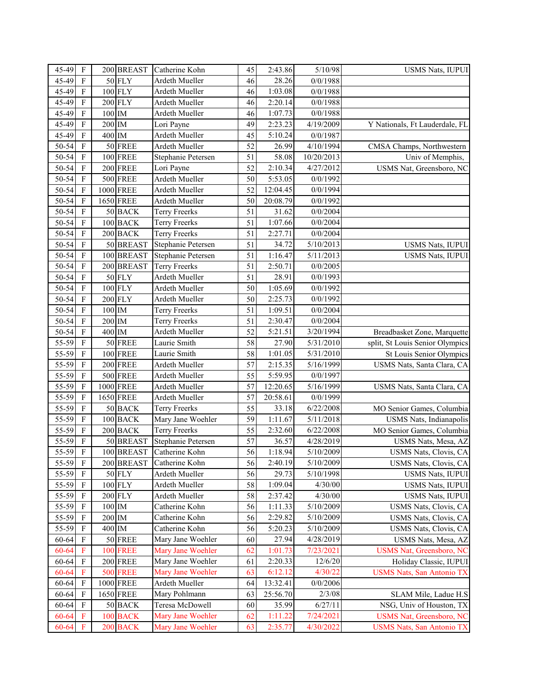| 45-49     | $\mathbf F$             |          | 200 BREAST      | Catherine Kohn       | 45 | 2:43.86  | 5/10/98    | USMS Nats, IUPUI                 |
|-----------|-------------------------|----------|-----------------|----------------------|----|----------|------------|----------------------------------|
| 45-49     | $\mathbf F$             |          | $50$ FLY        | Ardeth Mueller       | 46 | 28.26    | 0/0/1988   |                                  |
| 45-49     | $\mathbf F$             |          | $100$ FLY       | Ardeth Mueller       | 46 | 1:03.08  | 0/0/1988   |                                  |
| 45-49     | $\overline{\mathrm{F}}$ |          | $200$ FLY       | Ardeth Mueller       | 46 | 2:20.14  | 0/0/1988   |                                  |
| 45-49     | $\overline{\mathrm{F}}$ | $100$ IM |                 | Ardeth Mueller       | 46 | 1:07.73  | 0/0/1988   |                                  |
| 45-49     | F                       | $200$ IM |                 | Lori Payne           | 49 | 2:23.23  | 4/19/2009  | Y Nationals, Ft Lauderdale, FL   |
| 45-49     | $\overline{\mathrm{F}}$ | $400$ IM |                 | Ardeth Mueller       | 45 | 5:10.24  | 0/0/1987   |                                  |
| 50-54     | $\overline{\mathrm{F}}$ |          | 50 FREE         | Ardeth Mueller       | 52 | 26.99    | 4/10/1994  | CMSA Champs, Northwestern        |
| 50-54     | $\overline{\mathrm{F}}$ |          | $100$ FREE      | Stephanie Petersen   | 51 | 58.08    | 10/20/2013 | Univ of Memphis,                 |
| 50-54     | $\mathbf F$             |          | $200$ FREE      | Lori Payne           | 52 | 2:10.34  | 4/27/2012  | USMS Nat, Greensboro, NC         |
| $50 - 54$ | $\overline{F}$          |          | 500 FREE        | Ardeth Mueller       | 50 | 5:53.05  | 0/0/1992   |                                  |
| $50 - 54$ | $\overline{\mathrm{F}}$ |          | 1000 FREE       | Ardeth Mueller       | 52 | 12:04.45 | 0/0/1994   |                                  |
| 50-54     | $\overline{F}$          |          | 1650 FREE       | Ardeth Mueller       | 50 | 20:08.79 | 0/0/1992   |                                  |
| 50-54     | $\overline{\mathrm{F}}$ |          | $50$ BACK       | <b>Terry Freerks</b> | 51 | 31.62    | 0/0/2004   |                                  |
| $50 - 54$ | $\overline{F}$          |          | $100$ BACK      | <b>Terry Freerks</b> | 51 | 1:07.66  | 0/0/2004   |                                  |
| $50 - 54$ | $\overline{\mathrm{F}}$ |          | $200$ BACK      | <b>Terry Freerks</b> | 51 | 2:27.71  | 0/0/2004   |                                  |
| 50-54     | $\overline{F}$          |          | 50 BREAST       | Stephanie Petersen   | 51 | 34.72    | 5/10/2013  | <b>USMS Nats, IUPUI</b>          |
| 50-54     | $\mathbf F$             |          | 100 BREAST      | Stephanie Petersen   | 51 | 1:16.47  | 5/11/2013  | USMS Nats, IUPUI                 |
| 50-54     | $\mathbf F$             |          | 200 BREAST      | <b>Terry Freerks</b> | 51 | 2:50.71  | 0/0/2005   |                                  |
| 50-54     | $\rm F$                 |          | $50$ FLY        | Ardeth Mueller       | 51 | 28.91    | 0/0/1993   |                                  |
| 50-54     | $\rm F$                 |          | $100$ FLY       | Ardeth Mueller       | 50 | 1:05.69  | 0/0/1992   |                                  |
| $50 - 54$ | $\mathbf F$             |          | 200 FLY         | Ardeth Mueller       | 50 | 2:25.73  | 0/0/1992   |                                  |
| $50 - 54$ | $\mathbf F$             | $100$ IM |                 | <b>Terry Freerks</b> | 51 | 1:09.51  | 0/0/2004   |                                  |
| $50 - 54$ | $\mathbf F$             | 200      | IM              | <b>Terry Freerks</b> | 51 | 2:30.47  | 0/0/2004   |                                  |
| $50 - 54$ | $\mathbf F$             | 400      | IM              | Ardeth Mueller       | 52 | 5:21.51  | 3/20/1994  | Breadbasket Zone, Marquette      |
| 55-59     | $\mathbf F$             |          | 50 FREE         | Laurie Smith         | 58 | 27.90    | 5/31/2010  | split, St Louis Senior Olympics  |
| 55-59     | $\mathbf F$             |          | <b>100 FREE</b> | Laurie Smith         | 58 | 1:01.05  | 5/31/2010  | St Louis Senior Olympics         |
| 55-59     | $\overline{F}$          |          | $200$ FREE      | Ardeth Mueller       | 57 | 2:15.35  | 5/16/1999  | USMS Nats, Santa Clara, CA       |
| 55-59     | $\overline{F}$          |          | $500$ FREE      | Ardeth Mueller       | 55 | 5:59.95  | 0/0/1997   |                                  |
| 55-59     | $\overline{\mathrm{F}}$ |          | 1000 FREE       | Ardeth Mueller       | 57 | 12:20.65 | 5/16/1999  | USMS Nats, Santa Clara, CA       |
| 55-59     | $\overline{F}$          |          | 1650 FREE       | Ardeth Mueller       | 57 | 20:58.61 | 0/0/1999   |                                  |
| 55-59     | $\overline{F}$          |          | 50 BACK         | <b>Terry Freerks</b> | 55 | 33.18    | 6/22/2008  | MO Senior Games, Columbia        |
| 55-59     | $\mathbf F$             |          | $100$ BACK      | Mary Jane Woehler    | 59 | 1:11.67  | 5/11/2018  | USMS Nats, Indianapolis          |
| 55-59     | $\mathbf F$             |          | $200$ BACK      | <b>Terry Freerks</b> | 55 | 2:32.60  | 6/22/2008  | MO Senior Games, Columbia        |
| 55-59     | $\mathbf F$             |          | 50 BREAST       | Stephanie Petersen   | 57 | 36.57    | 4/28/2019  | USMS Nats, Mesa, AZ              |
| 55-59     | $\overline{\mathrm{F}}$ |          | 100 BREAST      | Catherine Kohn       | 56 | 1:18.94  | 5/10/2009  | USMS Nats, Clovis, CA            |
| 55-59     | $\boldsymbol{F}$        |          | 200 BREAST      | Catherine Kohn       | 56 | 2:40.19  | 5/10/2009  | USMS Nats, Clovis, CA            |
| 55-59     | $\mathbf F$             |          | $50$ FLY        | Ardeth Mueller       | 56 | 29.73    | 5/10/1998  | <b>USMS Nats, IUPUI</b>          |
| 55-59     | $\mathbf F$             |          | $100$ FLY       | Ardeth Mueller       | 58 | 1:09.04  | 4/30/00    | <b>USMS Nats, IUPUI</b>          |
| 55-59     | $\mathbf F$             |          | $200$ FLY       | Ardeth Mueller       | 58 | 2:37.42  | 4/30/00    | <b>USMS Nats, IUPUI</b>          |
| 55-59     | $\mathbf F$             | $100$ M  |                 | Catherine Kohn       | 56 | 1:11.33  | 5/10/2009  | USMS Nats, Clovis, CA            |
| 55-59     | $\mathbf F$             | $200$ IM |                 | Catherine Kohn       | 56 | 2:29.82  | 5/10/2009  | USMS Nats, Clovis, CA            |
| 55-59     | $\mathbf F$             | $400$ IM |                 | Catherine Kohn       | 56 | 5:20.23  | 5/10/2009  | USMS Nats, Clovis, CA            |
| 60-64     | $\mathbf F$             |          | $50$ FREE       | Mary Jane Woehler    | 60 | 27.94    | 4/28/2019  | USMS Nats, Mesa, AZ              |
| 60-64     | $\mathbf F$             |          | <b>100 FREE</b> | Mary Jane Woehler    | 62 | 1:01.73  | 7/23/2021  | USMS Nat, Greensboro, NC         |
| 60-64     | $\rm F$                 |          | $200$ FREE      | Mary Jane Woehler    | 61 | 2:20.33  | 12/6/20    | Holiday Classic, IUPUI           |
| $60 - 64$ | $\mathbf F$             |          | <b>500 FREE</b> | Mary Jane Woehler    | 63 | 6:12.12  | 4/30/22    | <b>USMS Nats, San Antonio TX</b> |
| 60-64     | $\mathbf F$             |          | 1000 FREE       | Ardeth Mueller       | 64 | 13:32.41 | 0/0/2006   |                                  |
| 60-64     | $\mathbf F$             |          | 1650 FREE       | Mary Pohlmann        | 63 | 25:56.70 | 2/3/08     | SLAM Mile, Ladue H.S             |
| 60-64     | $\mathbf F$             |          | 50 BACK         | Teresa McDowell      | 60 | 35.99    | 6/27/11    | NSG, Univ of Houston, TX         |
| 60-64     | $\mathbf F$             |          | <b>100 BACK</b> | Mary Jane Woehler    | 62 | 1:11.22  | 7/24/2021  | USMS Nat, Greensboro, NC         |
| 60-64     | $\mathbf F$             |          | 200 BACK        | Mary Jane Woehler    | 63 | 2:35.77  | 4/30/2022  | USMS Nats, San Antonio TX        |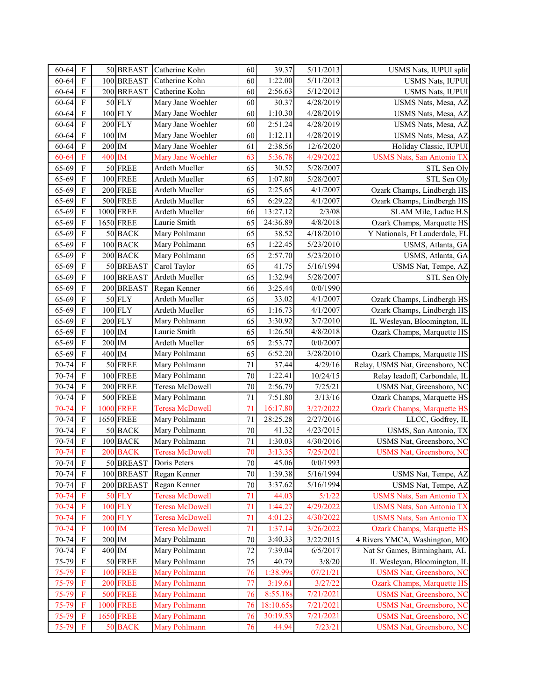| 60-64     | $\mathbf F$             |          | 50 BREAST        | Catherine Kohn         | 60 | 39.37     | 5/11/2013 | USMS Nats, IUPUI split            |
|-----------|-------------------------|----------|------------------|------------------------|----|-----------|-----------|-----------------------------------|
| 60-64     | $\mathbf F$             |          | 100 BREAST       | Catherine Kohn         | 60 | 1:22.00   | 5/11/2013 | USMS Nats, IUPUI                  |
| 60-64     | $\mathbf F$             |          | 200 BREAST       | Catherine Kohn         | 60 | 2:56.63   | 5/12/2013 | USMS Nats, IUPUI                  |
| 60-64     | $\mathbf F$             |          | $50$ FLY         | Mary Jane Woehler      | 60 | 30.37     | 4/28/2019 | USMS Nats, Mesa, AZ               |
| 60-64     | $\mathbf F$             |          | $100$ FLY        | Mary Jane Woehler      | 60 | 1:10.30   | 4/28/2019 | USMS Nats, Mesa, AZ               |
| 60-64     | $\mathbf F$             |          | $200$ FLY        | Mary Jane Woehler      | 60 | 2:51.24   | 4/28/2019 | USMS Nats, Mesa, AZ               |
| 60-64     | $\mathbf F$             | $100$ IM |                  | Mary Jane Woehler      | 60 | 1:12.11   | 4/28/2019 | USMS Nats, Mesa, AZ               |
| 60-64     | $\mathbf F$             | 200      | $\rm IM$         | Mary Jane Woehler      | 61 | 2:38.56   | 12/6/2020 | Holiday Classic, IUPUI            |
| $60 - 64$ | $\overline{\mathrm{F}}$ | 400      | <b>IM</b>        | Mary Jane Woehler      | 63 | 5:36.78   | 4/29/2022 | <b>USMS Nats, San Antonio TX</b>  |
| 65-69     | $\mathbf F$             |          | <b>50 FREE</b>   | Ardeth Mueller         | 65 | 30.52     | 5/28/2007 | STL Sen Oly                       |
| 65-69     | $\mathbf F$             |          | $100$ FREE       | Ardeth Mueller         | 65 | 1:07.80   | 5/28/2007 | STL Sen Oly                       |
| 65-69     | $\overline{\mathrm{F}}$ |          | $200$ FREE       | Ardeth Mueller         | 65 | 2:25.65   | 4/1/2007  | Ozark Champs, Lindbergh HS        |
| 65-69     | $\mathbf F$             |          | 500 FREE         | Ardeth Mueller         | 65 | 6:29.22   | 4/1/2007  | Ozark Champs, Lindbergh HS        |
| 65-69     | $\overline{\mathrm{F}}$ |          | 1000 FREE        | Ardeth Mueller         | 66 | 13:27.12  | 2/3/08    | SLAM Mile, Ladue H.S              |
| 65-69     | $\mathbf F$             |          | 1650 FREE        | Laurie Smith           | 65 | 24:36.89  | 4/8/2018  | Ozark Champs, Marquette HS        |
| 65-69     | $\mathbf F$             |          | 50 BACK          | Mary Pohlmann          | 65 | 38.52     | 4/18/2010 | Y Nationals, Ft Lauderdale, FL    |
| 65-69     | $\mathbf F$             |          | $100$ BACK       | Mary Pohlmann          | 65 | 1:22.45   | 5/23/2010 | USMS, Atlanta, GA                 |
| 65-69     | $\mathbf F$             |          | $200$ BACK       | Mary Pohlmann          | 65 | 2:57.70   | 5/23/2010 | USMS, Atlanta, GA                 |
| 65-69     | $\mathbf F$             |          | 50 BREAST        | Carol Taylor           | 65 | 41.75     | 5/16/1994 | USMS Nat, Tempe, AZ               |
| 65-69     | $\mathbf F$             |          | 100 BREAST       | Ardeth Mueller         | 65 | 1:32.94   | 5/28/2007 | STL Sen Oly                       |
| 65-69     | $\overline{\mathrm{F}}$ |          | 200 BREAST       | Regan Kenner           | 66 | 3:25.44   | 0/0/1990  |                                   |
| 65-69     | $\mathbf F$             |          | $50$ FLY         | Ardeth Mueller         | 65 | 33.02     | 4/1/2007  | Ozark Champs, Lindbergh HS        |
| 65-69     | $\overline{\mathrm{F}}$ |          | $100$ FLY        | Ardeth Mueller         | 65 | 1:16.73   | 4/1/2007  | Ozark Champs, Lindbergh HS        |
| 65-69     | F                       |          | $200$ FLY        | Mary Pohlmann          | 65 | 3:30.92   | 3/7/2010  | IL Wesleyan, Bloomington, IL      |
| 65-69     | $\overline{\mathrm{F}}$ | 100      | IM               | Laurie Smith           | 65 | 1:26.50   | 4/8/2018  | Ozark Champs, Marquette HS        |
| 65-69     | $\overline{\mathrm{F}}$ | 200      | $\rm IM$         | Ardeth Mueller         | 65 | 2:53.77   | 0/0/2007  |                                   |
| 65-69     | $\mathbf F$             | 400      | IM               | Mary Pohlmann          | 65 | 6:52.20   | 3/28/2010 | Ozark Champs, Marquette HS        |
| $70 - 74$ | $\overline{\mathrm{F}}$ |          | 50 FREE          | Mary Pohlmann          | 71 | 37.44     | 4/29/16   | Relay, USMS Nat, Greensboro, NC   |
| $70 - 74$ | $\overline{\mathrm{F}}$ |          | $100$ FREE       | Mary Pohlmann          | 70 | 1:22.41   | 10/24/15  | Relay leadoff, Carbondale, IL     |
| $70 - 74$ | $\mathbf F$             |          | $200$ FREE       | Teresa McDowell        | 70 | 2:56.79   | 7/25/21   | USMS Nat, Greensboro, NC          |
| 70-74     | $\mathbf F$             |          | 500 FREE         | Mary Pohlmann          | 71 | 7:51.80   | 3/13/16   | Ozark Champs, Marquette HS        |
| $70 - 74$ | $\overline{\mathrm{F}}$ |          | <b>1000 FREE</b> | Teresa McDowell        | 71 | 16:17.80  | 3/27/2022 | <b>Ozark Champs, Marquette HS</b> |
| 70-74     | $\overline{\mathrm{F}}$ |          | 1650 FREE        | Mary Pohlmann          | 71 | 28:25.28  | 2/27/2016 | LLCC, Godfrey, IL                 |
| 70-74     | $\mathbf F$             |          | 50 BACK          | Mary Pohlmann          | 70 | 41.32     | 4/23/2015 | USMS, San Antonio, TX             |
| 70-74     | $\mathbf F$             |          | $100$ BACK       | Mary Pohlmann          | 71 | 1:30.03   | 4/30/2016 | USMS Nat, Greensboro, NC          |
| $70 - 74$ | $\overline{\mathbf{F}}$ |          | 200 BACK         | <b>Teresa McDowell</b> | 70 | 3:13.35   | 7/25/2021 | USMS Nat, Greensboro, NC          |
| $70 - 74$ | $\boldsymbol{F}$        |          | 50 BREAST        | Doris Peters           | 70 | 45.06     | 0/0/1993  |                                   |
| $70 - 74$ | $\mathbf F$             |          | 100 BREAST       | Regan Kenner           | 70 | 1:39.38   | 5/16/1994 | USMS Nat, Tempe, AZ               |
| $70 - 74$ | $\mathbf F$             |          | 200 BREAST       | Regan Kenner           | 70 | 3:37.62   | 5/16/1994 | USMS Nat, Tempe, AZ               |
| $70 - 74$ | $\mathbf F$             |          | <b>50 FLY</b>    | <b>Teresa McDowell</b> | 71 | 44.03     | 5/1/22    | <b>USMS Nats, San Antonio TX</b>  |
| $70 - 74$ | $\rm F$                 |          | 100 FLY          | Teresa McDowell        | 71 | 1:44.27   | 4/29/2022 | <b>USMS Nats, San Antonio TX</b>  |
| $70 - 74$ | $\overline{\mathrm{F}}$ |          | <b>200 FLY</b>   | Teresa McDowell        | 71 | 4:01.23   | 4/30/2022 | <b>USMS Nats, San Antonio TX</b>  |
| $70 - 74$ | $\overline{\mathrm{F}}$ | $100$ IM |                  | Teresa McDowell        | 71 | 1:37.14   | 3/26/2022 | <b>Ozark Champs, Marquette HS</b> |
| $70 - 74$ | $\mathbf F$             | $200$ IM |                  | Mary Pohlmann          | 70 | 3:40.33   | 3/22/2015 | 4 Rivers YMCA, Washington, MO     |
| $70 - 74$ | $\mathbf F$             | $400$ IM |                  | Mary Pohlmann          | 72 | 7:39.04   | 6/5/2017  | Nat Sr Games, Birmingham, AL      |
| 75-79     | $\mathbf F$             |          | 50 FREE          | Mary Pohlmann          | 75 | 40.79     | 3/8/20    | IL Wesleyan, Bloomington, IL      |
| 75-79     | $\mathbf F$             |          | <b>100 FREE</b>  | Mary Pohlmann          | 76 | 1:38.99s  | 07/21/21  | USMS Nat, Greensboro, NC          |
| 75-79     | $\overline{F}$          |          | <b>200 FREE</b>  | Mary Pohlmann          | 77 | 3:19.61   | 3/27/22   | <b>Ozark Champs, Marquette HS</b> |
| 75-79     | $\mathbf F$             |          | <b>500 FREE</b>  | Mary Pohlmann          | 76 | 8:55.18s  | 7/21/2021 | USMS Nat, Greensboro, NC          |
| 75-79     | $\overline{\mathrm{F}}$ |          | <b>1000 FREE</b> | Mary Pohlmann          | 76 | 18:10.65s | 7/21/2021 | USMS Nat, Greensboro, NC          |
| 75-79     | $\overline{\mathrm{F}}$ |          | <b>1650 FREE</b> | Mary Pohlmann          | 76 | 30:19.53  | 7/21/2021 | USMS Nat, Greensboro, NC          |
| 75-79     | $\mathbf F$             |          | 50 BACK          | Mary Pohlmann          | 76 | 44.94     | 7/23/21   | USMS Nat, Greensboro, NC          |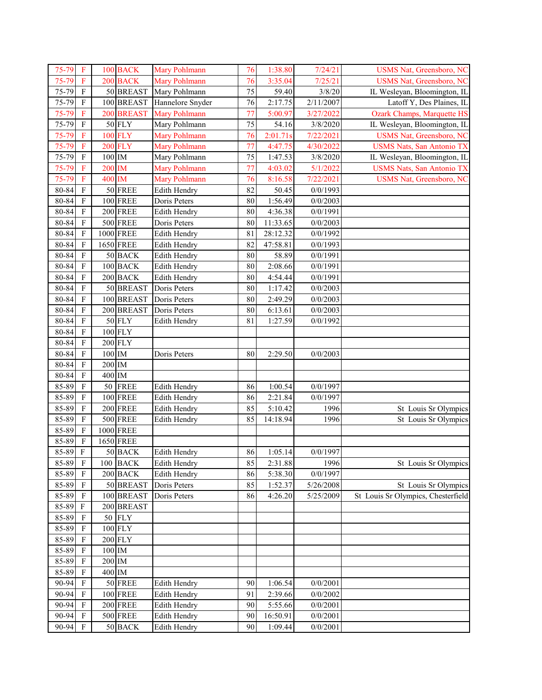| 75-79          | $\mathbf F$                |          | 100 BACK                | Mary Pohlmann                | 76       | 1:38.80  | 7/24/21          | USMS Nat, Greensboro, NC                                   |
|----------------|----------------------------|----------|-------------------------|------------------------------|----------|----------|------------------|------------------------------------------------------------|
| 75-79          | $\mathbf F$                |          | 200 BACK                | Mary Pohlmann                | 76       | 3:35.04  | 7/25/21          | USMS Nat, Greensboro, NC                                   |
| 75-79          | $\mathbf F$                |          | 50 BREAST               | Mary Pohlmann                | 75       | 59.40    | 3/8/20           | IL Wesleyan, Bloomington, IL                               |
| 75-79          | ${\bf F}$                  |          | 100 BREAST              | Hannelore Snyder             | 76       | 2:17.75  | 2/11/2007        | Latoff Y, Des Plaines, IL                                  |
| 75-79          | $\mathbf F$                |          | 200 BREAST              | Mary Pohlmann                | 77       | 5:00.97  | 3/27/2022        | <b>Ozark Champs, Marquette HS</b>                          |
| 75-79          | $\mathbf F$                |          | $50$ FLY                | Mary Pohlmann                | 75       | 54.16    | 3/8/2020         | IL Wesleyan, Bloomington, IL                               |
| 75-79          | $\mathbf F$                |          | 100 FLY                 | Mary Pohlmann                | 76       | 2:01.71s | 7/22/2021        | USMS Nat, Greensboro, NC                                   |
| $75 - 79$      | $\overline{\mathrm{F}}$    |          | <b>200 FLY</b>          | Mary Pohlmann                | 77       | 4:47.75  | 4/30/2022        | <b>USMS Nats, San Antonio TX</b>                           |
| 75-79          | $\overline{\mathrm{F}}$    | $100$ M  |                         | Mary Pohlmann                | 75       | 1:47.53  | 3/8/2020         | IL Wesleyan, Bloomington, IL                               |
| 75-79          | $\overline{\mathrm{F}}$    | 200 IM   |                         | Mary Pohlmann                | 77       | 4:03.02  | 5/1/2022         | <b>USMS Nats, San Antonio TX</b>                           |
| 75-79          | $\overline{F}$             | 400 IM   |                         | Mary Pohlmann                | 76       | 8:16.58  | 7/22/2021        | USMS Nat, Greensboro, NC                                   |
| 80-84          | $\overline{F}$             |          | $50$ FREE               | Edith Hendry                 | 82       | 50.45    | 0/0/1993         |                                                            |
| 80-84          | $\overline{\mathrm{F}}$    |          | 100 FREE                | Doris Peters                 | 80       | 1:56.49  | 0/0/2003         |                                                            |
| 80-84          | $\overline{\mathrm{F}}$    |          | $200$ FREE              | Edith Hendry                 | 80       | 4:36.38  | 0/0/1991         |                                                            |
| 80-84          | $\overline{\mathrm{F}}$    |          | $500$ FREE              | Doris Peters                 | 80       | 11:33.65 | 0/0/2003         |                                                            |
| 80-84          | $\overline{\mathrm{F}}$    |          | 1000 FREE               | Edith Hendry                 | 81       | 28:12.32 | 0/0/1992         |                                                            |
| 80-84          | $\overline{\mathrm{F}}$    |          | 1650 FREE               | Edith Hendry                 | 82       | 47:58.81 | 0/0/1993         |                                                            |
| 80-84          | $\mathbf F$                |          | 50 BACK                 | Edith Hendry                 | 80       | 58.89    | 0/0/1991         |                                                            |
| 80-84          | $\mathbf F$                |          | $100$ BACK              | Edith Hendry                 | 80       | 2:08.66  | 0/0/1991         |                                                            |
| 80-84          | ${\bf F}$                  |          | $200$ BACK              | Edith Hendry                 | 80       | 4:54.44  | 0/0/1991         |                                                            |
| 80-84          | ${\bf F}$                  |          | 50 BREAST               | Doris Peters                 | 80       | 1:17.42  | 0/0/2003         |                                                            |
| 80-84          | ${\bf F}$                  |          | 100 BREAST              | Doris Peters                 | 80       | 2:49.29  | 0/0/2003         |                                                            |
| 80-84          | $\mathbf F$                |          | 200 BREAST              | Doris Peters                 | 80       | 6:13.61  | 0/0/2003         |                                                            |
| 80-84          | $\mathbf F$                |          | $50$ FLY                | Edith Hendry                 | 81       | 1:27.59  | 0/0/1992         |                                                            |
| 80-84          | $\overline{\mathrm{F}}$    |          | $100$ FLY               |                              |          |          |                  |                                                            |
| 80-84          | $\overline{\mathrm{F}}$    |          | $200$ FLY               |                              |          |          |                  |                                                            |
| 80-84          | $\mathbf F$                | $100$ IM |                         | Doris Peters                 | 80       | 2:29.50  | 0/0/2003         |                                                            |
| 80-84          | $\overline{\mathrm{F}}$    | $200$ IM |                         |                              |          |          |                  |                                                            |
| 80-84          | $\overline{F}$             | $400$ IM |                         |                              |          |          |                  |                                                            |
| 85-89          | $\overline{\mathrm{F}}$    |          | <b>50 FREE</b>          | Edith Hendry                 | 86       | 1:00.54  | 0/0/1997         |                                                            |
| 85-89          | $\overline{\mathrm{F}}$    |          | $100$ FREE              | Edith Hendry                 | 86       | 2:21.84  | 0/0/1997         |                                                            |
| 85-89          | $\overline{\mathrm{F}}$    |          | $200$ FREE              | <b>Edith Hendry</b>          | 85       | 5:10.42  | 1996             | St Louis Sr Olympics                                       |
| 85-89          | $\overline{\mathrm{F}}$    |          | $500$ FREE              | Edith Hendry                 | 85       | 14:18.94 | 1996             | St Louis Sr Olympics                                       |
| 85-89          | $\overline{\mathrm{F}}$    |          | 1000 FREE               |                              |          |          |                  |                                                            |
| 85-89          | $\mathbf F$                |          | 1650 FREE               |                              |          |          |                  |                                                            |
| 85-89          | $\overline{\mathrm{F}}$    |          | $50$ BACK               | <b>Edith Hendry</b>          | 86       | 1:05.14  | 0/0/1997         |                                                            |
|                | F                          |          | $100$ BACK              |                              |          |          |                  |                                                            |
| 85-89<br>85-89 | $\mathbf F$                |          | $200$ BACK              | Edith Hendry<br>Edith Hendry | 85<br>86 | 2:31.88  | 1996<br>0/0/1997 | St Louis Sr Olympics                                       |
| 85-89          |                            |          |                         |                              | 85       | 5:38.30  | 5/26/2008        |                                                            |
|                | F                          |          | 50 BREAST<br>100 BREAST | Doris Peters<br>Doris Peters |          | 1:52.37  |                  | St Louis Sr Olympics<br>St Louis Sr Olympics, Chesterfield |
| 85-89<br>85-89 | $\mathbf F$<br>$\mathbf F$ |          | 200 BREAST              |                              | 86       | 4:26.20  | 5/25/2009        |                                                            |
|                | $\mathbf F$                |          | $50$ FLY                |                              |          |          |                  |                                                            |
| 85-89          |                            |          |                         |                              |          |          |                  |                                                            |
| 85-89          | $\mathbf F$<br>$\mathbf F$ |          | $100$ FLY<br>$200$ FLY  |                              |          |          |                  |                                                            |
| 85-89          |                            |          |                         |                              |          |          |                  |                                                            |
| 85-89          | $\mathbf{F}$               | $100$ IM |                         |                              |          |          |                  |                                                            |
| 85-89          | ${\bf F}$                  | $200$ IM |                         |                              |          |          |                  |                                                            |
| 85-89          | $\mathbf F$                | $400$ IM |                         |                              |          |          |                  |                                                            |
| 90-94          | ${\bf F}$                  |          | $50$ FREE               | Edith Hendry                 | 90       | 1:06.54  | 0/0/2001         |                                                            |
| 90-94          | $\mathbf F$                |          | $100$ FREE              | Edith Hendry                 | 91       | 2:39.66  | 0/0/2002         |                                                            |
| 90-94          | $\mathbf F$                |          | $200$ FREE              | Edith Hendry                 | 90       | 5:55.66  | 0/0/2001         |                                                            |
| 90-94          | $\mathbf F$                |          | <b>500 FREE</b>         | Edith Hendry                 | 90       | 16:50.91 | 0/0/2001         |                                                            |
| $90 - 94$      | $\mathbf F$                |          | $50$ BACK               | Edith Hendry                 | 90       | 1:09.44  | 0/0/2001         |                                                            |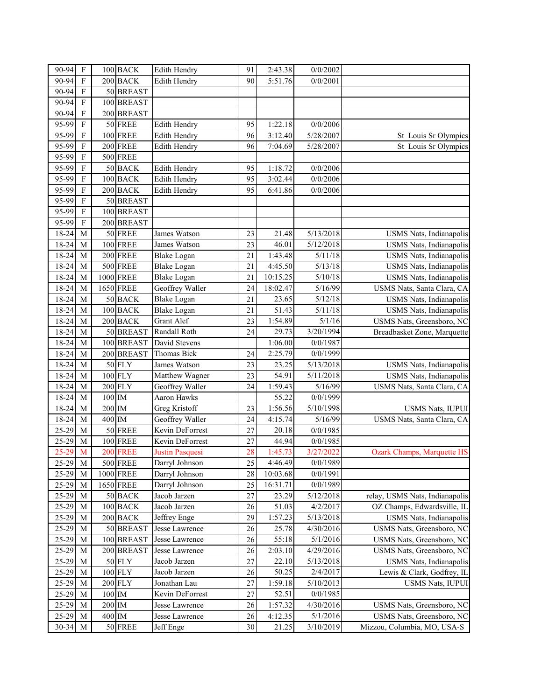| 90-94<br>${\bf F}$<br>$200$ BACK<br>90<br>Edith Hendry<br>5:51.76<br>0/0/2001<br>$\mathbf F$<br>50 BREAST<br>90-94<br>90-94<br>$\mathbf F$<br>100 BREAST<br>90-94<br>$\mathbf F$<br>200 BREAST<br>95-99<br>50 FREE<br>${\bf F}$<br>95<br>1:22.18<br>0/0/2006<br>Edith Hendry<br>$100$ FREE<br>95-99<br>$\boldsymbol{\mathrm{F}}$<br>Edith Hendry<br>96<br>3:12.40<br>5/28/2007<br>St Louis Sr Olympics<br>95-99<br>$\mathbf F$<br>$200$ FREE<br>Edith Hendry<br>96<br>St Louis Sr Olympics<br>7:04.69<br>5/28/2007<br>95-99<br>$\mathbf F$<br>500 FREE<br>95-99<br>${\bf F}$<br>50 BACK<br>0/0/2006<br>95<br>1:18.72<br>Edith Hendry<br>95-99<br>$\mathbf F$<br>$100$ BACK<br>Edith Hendry<br>95<br>3:02.44<br>0/0/2006<br>95-99<br>$\mathbf F$<br>$200$ BACK<br>95<br>6:41.86<br>0/0/2006<br>Edith Hendry<br>$\overline{\mathrm{F}}$<br>95-99<br>50 BREAST<br>95-99<br>$\overline{\mathrm{F}}$<br>100 BREAST<br>95-99<br>${\bf F}$<br>200 BREAST<br>18-24<br>$\mathbf{M}$<br>50 FREE<br>21.48<br>James Watson<br>23<br>5/13/2018<br>USMS Nats, Indianapolis<br>$100$ FREE<br>23<br>18-24<br>$\mathbf{M}$<br>46.01<br>5/12/2018<br>James Watson<br>USMS Nats, Indianapolis<br>21<br>18-24<br>$\mathbf{M}$<br>$200$ FREE<br>1:43.48<br>5/11/18<br><b>Blake Logan</b><br>USMS Nats, Indianapolis<br>18-24<br>$\mathbf{M}$<br>500 FREE<br>21<br>5/13/18<br>4:45.50<br>USMS Nats, Indianapolis<br><b>Blake Logan</b><br>21<br>18-24<br>1000 FREE<br>M<br>10:15.25<br>5/10/18<br>USMS Nats, Indianapolis<br><b>Blake Logan</b><br>18-24<br>Geoffrey Waller<br>24<br>M<br>1650 FREE<br>18:02.47<br>5/16/99<br>USMS Nats, Santa Clara, CA<br>18-24<br>$50$ BACK<br><b>Blake Logan</b><br>21<br>23.65<br>M<br>5/12/18<br>USMS Nats, Indianapolis<br>18-24<br>$100$ BACK<br><b>Blake Logan</b><br>51.43<br>$\mathbf M$<br>21<br>5/11/18<br>USMS Nats, Indianapolis<br>18-24<br>$200$ BACK<br><b>Grant Alef</b><br>$\mathbf{M}$<br>23<br>1:54.89<br>5/1/16<br>USMS Nats, Greensboro, NC<br>18-24<br>50 BREAST<br>Randall Roth<br>29.73<br>3/20/1994<br>$\mathbf{M}$<br>24<br>Breadbasket Zone, Marquette<br>18-24<br>100 BREAST<br>David Stevens<br>1:06.00<br>0/0/1987<br>$\mathbf{M}$<br>18-24<br>200 BREAST<br>Thomas Bick<br>2:25.79<br>0/0/1999<br>$\mathbf{M}$<br>24<br>$50$ FLY<br>James Watson<br>23.25<br>5/13/2018<br>18-24<br>23<br>M<br>USMS Nats, Indianapolis |
|-------------------------------------------------------------------------------------------------------------------------------------------------------------------------------------------------------------------------------------------------------------------------------------------------------------------------------------------------------------------------------------------------------------------------------------------------------------------------------------------------------------------------------------------------------------------------------------------------------------------------------------------------------------------------------------------------------------------------------------------------------------------------------------------------------------------------------------------------------------------------------------------------------------------------------------------------------------------------------------------------------------------------------------------------------------------------------------------------------------------------------------------------------------------------------------------------------------------------------------------------------------------------------------------------------------------------------------------------------------------------------------------------------------------------------------------------------------------------------------------------------------------------------------------------------------------------------------------------------------------------------------------------------------------------------------------------------------------------------------------------------------------------------------------------------------------------------------------------------------------------------------------------------------------------------------------------------------------------------------------------------------------------------------------------------------------------------------------------------------------------------------------------------------------------------------------------------------------------------------------------------------------------------------------------------------------------------------------------------------------|
|                                                                                                                                                                                                                                                                                                                                                                                                                                                                                                                                                                                                                                                                                                                                                                                                                                                                                                                                                                                                                                                                                                                                                                                                                                                                                                                                                                                                                                                                                                                                                                                                                                                                                                                                                                                                                                                                                                                                                                                                                                                                                                                                                                                                                                                                                                                                                                   |
|                                                                                                                                                                                                                                                                                                                                                                                                                                                                                                                                                                                                                                                                                                                                                                                                                                                                                                                                                                                                                                                                                                                                                                                                                                                                                                                                                                                                                                                                                                                                                                                                                                                                                                                                                                                                                                                                                                                                                                                                                                                                                                                                                                                                                                                                                                                                                                   |
|                                                                                                                                                                                                                                                                                                                                                                                                                                                                                                                                                                                                                                                                                                                                                                                                                                                                                                                                                                                                                                                                                                                                                                                                                                                                                                                                                                                                                                                                                                                                                                                                                                                                                                                                                                                                                                                                                                                                                                                                                                                                                                                                                                                                                                                                                                                                                                   |
|                                                                                                                                                                                                                                                                                                                                                                                                                                                                                                                                                                                                                                                                                                                                                                                                                                                                                                                                                                                                                                                                                                                                                                                                                                                                                                                                                                                                                                                                                                                                                                                                                                                                                                                                                                                                                                                                                                                                                                                                                                                                                                                                                                                                                                                                                                                                                                   |
|                                                                                                                                                                                                                                                                                                                                                                                                                                                                                                                                                                                                                                                                                                                                                                                                                                                                                                                                                                                                                                                                                                                                                                                                                                                                                                                                                                                                                                                                                                                                                                                                                                                                                                                                                                                                                                                                                                                                                                                                                                                                                                                                                                                                                                                                                                                                                                   |
|                                                                                                                                                                                                                                                                                                                                                                                                                                                                                                                                                                                                                                                                                                                                                                                                                                                                                                                                                                                                                                                                                                                                                                                                                                                                                                                                                                                                                                                                                                                                                                                                                                                                                                                                                                                                                                                                                                                                                                                                                                                                                                                                                                                                                                                                                                                                                                   |
|                                                                                                                                                                                                                                                                                                                                                                                                                                                                                                                                                                                                                                                                                                                                                                                                                                                                                                                                                                                                                                                                                                                                                                                                                                                                                                                                                                                                                                                                                                                                                                                                                                                                                                                                                                                                                                                                                                                                                                                                                                                                                                                                                                                                                                                                                                                                                                   |
|                                                                                                                                                                                                                                                                                                                                                                                                                                                                                                                                                                                                                                                                                                                                                                                                                                                                                                                                                                                                                                                                                                                                                                                                                                                                                                                                                                                                                                                                                                                                                                                                                                                                                                                                                                                                                                                                                                                                                                                                                                                                                                                                                                                                                                                                                                                                                                   |
|                                                                                                                                                                                                                                                                                                                                                                                                                                                                                                                                                                                                                                                                                                                                                                                                                                                                                                                                                                                                                                                                                                                                                                                                                                                                                                                                                                                                                                                                                                                                                                                                                                                                                                                                                                                                                                                                                                                                                                                                                                                                                                                                                                                                                                                                                                                                                                   |
|                                                                                                                                                                                                                                                                                                                                                                                                                                                                                                                                                                                                                                                                                                                                                                                                                                                                                                                                                                                                                                                                                                                                                                                                                                                                                                                                                                                                                                                                                                                                                                                                                                                                                                                                                                                                                                                                                                                                                                                                                                                                                                                                                                                                                                                                                                                                                                   |
|                                                                                                                                                                                                                                                                                                                                                                                                                                                                                                                                                                                                                                                                                                                                                                                                                                                                                                                                                                                                                                                                                                                                                                                                                                                                                                                                                                                                                                                                                                                                                                                                                                                                                                                                                                                                                                                                                                                                                                                                                                                                                                                                                                                                                                                                                                                                                                   |
|                                                                                                                                                                                                                                                                                                                                                                                                                                                                                                                                                                                                                                                                                                                                                                                                                                                                                                                                                                                                                                                                                                                                                                                                                                                                                                                                                                                                                                                                                                                                                                                                                                                                                                                                                                                                                                                                                                                                                                                                                                                                                                                                                                                                                                                                                                                                                                   |
|                                                                                                                                                                                                                                                                                                                                                                                                                                                                                                                                                                                                                                                                                                                                                                                                                                                                                                                                                                                                                                                                                                                                                                                                                                                                                                                                                                                                                                                                                                                                                                                                                                                                                                                                                                                                                                                                                                                                                                                                                                                                                                                                                                                                                                                                                                                                                                   |
|                                                                                                                                                                                                                                                                                                                                                                                                                                                                                                                                                                                                                                                                                                                                                                                                                                                                                                                                                                                                                                                                                                                                                                                                                                                                                                                                                                                                                                                                                                                                                                                                                                                                                                                                                                                                                                                                                                                                                                                                                                                                                                                                                                                                                                                                                                                                                                   |
|                                                                                                                                                                                                                                                                                                                                                                                                                                                                                                                                                                                                                                                                                                                                                                                                                                                                                                                                                                                                                                                                                                                                                                                                                                                                                                                                                                                                                                                                                                                                                                                                                                                                                                                                                                                                                                                                                                                                                                                                                                                                                                                                                                                                                                                                                                                                                                   |
|                                                                                                                                                                                                                                                                                                                                                                                                                                                                                                                                                                                                                                                                                                                                                                                                                                                                                                                                                                                                                                                                                                                                                                                                                                                                                                                                                                                                                                                                                                                                                                                                                                                                                                                                                                                                                                                                                                                                                                                                                                                                                                                                                                                                                                                                                                                                                                   |
|                                                                                                                                                                                                                                                                                                                                                                                                                                                                                                                                                                                                                                                                                                                                                                                                                                                                                                                                                                                                                                                                                                                                                                                                                                                                                                                                                                                                                                                                                                                                                                                                                                                                                                                                                                                                                                                                                                                                                                                                                                                                                                                                                                                                                                                                                                                                                                   |
|                                                                                                                                                                                                                                                                                                                                                                                                                                                                                                                                                                                                                                                                                                                                                                                                                                                                                                                                                                                                                                                                                                                                                                                                                                                                                                                                                                                                                                                                                                                                                                                                                                                                                                                                                                                                                                                                                                                                                                                                                                                                                                                                                                                                                                                                                                                                                                   |
|                                                                                                                                                                                                                                                                                                                                                                                                                                                                                                                                                                                                                                                                                                                                                                                                                                                                                                                                                                                                                                                                                                                                                                                                                                                                                                                                                                                                                                                                                                                                                                                                                                                                                                                                                                                                                                                                                                                                                                                                                                                                                                                                                                                                                                                                                                                                                                   |
|                                                                                                                                                                                                                                                                                                                                                                                                                                                                                                                                                                                                                                                                                                                                                                                                                                                                                                                                                                                                                                                                                                                                                                                                                                                                                                                                                                                                                                                                                                                                                                                                                                                                                                                                                                                                                                                                                                                                                                                                                                                                                                                                                                                                                                                                                                                                                                   |
|                                                                                                                                                                                                                                                                                                                                                                                                                                                                                                                                                                                                                                                                                                                                                                                                                                                                                                                                                                                                                                                                                                                                                                                                                                                                                                                                                                                                                                                                                                                                                                                                                                                                                                                                                                                                                                                                                                                                                                                                                                                                                                                                                                                                                                                                                                                                                                   |
|                                                                                                                                                                                                                                                                                                                                                                                                                                                                                                                                                                                                                                                                                                                                                                                                                                                                                                                                                                                                                                                                                                                                                                                                                                                                                                                                                                                                                                                                                                                                                                                                                                                                                                                                                                                                                                                                                                                                                                                                                                                                                                                                                                                                                                                                                                                                                                   |
|                                                                                                                                                                                                                                                                                                                                                                                                                                                                                                                                                                                                                                                                                                                                                                                                                                                                                                                                                                                                                                                                                                                                                                                                                                                                                                                                                                                                                                                                                                                                                                                                                                                                                                                                                                                                                                                                                                                                                                                                                                                                                                                                                                                                                                                                                                                                                                   |
|                                                                                                                                                                                                                                                                                                                                                                                                                                                                                                                                                                                                                                                                                                                                                                                                                                                                                                                                                                                                                                                                                                                                                                                                                                                                                                                                                                                                                                                                                                                                                                                                                                                                                                                                                                                                                                                                                                                                                                                                                                                                                                                                                                                                                                                                                                                                                                   |
|                                                                                                                                                                                                                                                                                                                                                                                                                                                                                                                                                                                                                                                                                                                                                                                                                                                                                                                                                                                                                                                                                                                                                                                                                                                                                                                                                                                                                                                                                                                                                                                                                                                                                                                                                                                                                                                                                                                                                                                                                                                                                                                                                                                                                                                                                                                                                                   |
|                                                                                                                                                                                                                                                                                                                                                                                                                                                                                                                                                                                                                                                                                                                                                                                                                                                                                                                                                                                                                                                                                                                                                                                                                                                                                                                                                                                                                                                                                                                                                                                                                                                                                                                                                                                                                                                                                                                                                                                                                                                                                                                                                                                                                                                                                                                                                                   |
|                                                                                                                                                                                                                                                                                                                                                                                                                                                                                                                                                                                                                                                                                                                                                                                                                                                                                                                                                                                                                                                                                                                                                                                                                                                                                                                                                                                                                                                                                                                                                                                                                                                                                                                                                                                                                                                                                                                                                                                                                                                                                                                                                                                                                                                                                                                                                                   |
| $100$ FLY<br>54.91<br>18-24<br>$\mathbf{M}$<br>Matthew Wagner<br>23<br>5/11/2018<br>USMS Nats, Indianapolis                                                                                                                                                                                                                                                                                                                                                                                                                                                                                                                                                                                                                                                                                                                                                                                                                                                                                                                                                                                                                                                                                                                                                                                                                                                                                                                                                                                                                                                                                                                                                                                                                                                                                                                                                                                                                                                                                                                                                                                                                                                                                                                                                                                                                                                       |
| $200$ FLY<br>1:59.43<br>5/16/99<br>18-24<br>$\mathbf{M}$<br>Geoffrey Waller<br>24<br>USMS Nats, Santa Clara, CA                                                                                                                                                                                                                                                                                                                                                                                                                                                                                                                                                                                                                                                                                                                                                                                                                                                                                                                                                                                                                                                                                                                                                                                                                                                                                                                                                                                                                                                                                                                                                                                                                                                                                                                                                                                                                                                                                                                                                                                                                                                                                                                                                                                                                                                   |
| $100$ IM<br>Aaron Hawks<br>55.22<br>0/0/1999<br>18-24<br>$\mathbf M$                                                                                                                                                                                                                                                                                                                                                                                                                                                                                                                                                                                                                                                                                                                                                                                                                                                                                                                                                                                                                                                                                                                                                                                                                                                                                                                                                                                                                                                                                                                                                                                                                                                                                                                                                                                                                                                                                                                                                                                                                                                                                                                                                                                                                                                                                              |
| $200$ IM<br>Greg Kristoff<br>1:56.56<br>18-24<br>$\mathbf M$<br>23<br>5/10/1998<br><b>USMS Nats, IUPUI</b>                                                                                                                                                                                                                                                                                                                                                                                                                                                                                                                                                                                                                                                                                                                                                                                                                                                                                                                                                                                                                                                                                                                                                                                                                                                                                                                                                                                                                                                                                                                                                                                                                                                                                                                                                                                                                                                                                                                                                                                                                                                                                                                                                                                                                                                        |
| $400$ IM<br>Geoffrey Waller<br>5/16/99<br>18-24<br>$\mathbf M$<br>24<br>4:15.74<br>USMS Nats, Santa Clara, CA                                                                                                                                                                                                                                                                                                                                                                                                                                                                                                                                                                                                                                                                                                                                                                                                                                                                                                                                                                                                                                                                                                                                                                                                                                                                                                                                                                                                                                                                                                                                                                                                                                                                                                                                                                                                                                                                                                                                                                                                                                                                                                                                                                                                                                                     |
| Kevin DeForrest<br>25-29<br>50 FREE<br>27<br>20.18<br>M<br>0/0/1985                                                                                                                                                                                                                                                                                                                                                                                                                                                                                                                                                                                                                                                                                                                                                                                                                                                                                                                                                                                                                                                                                                                                                                                                                                                                                                                                                                                                                                                                                                                                                                                                                                                                                                                                                                                                                                                                                                                                                                                                                                                                                                                                                                                                                                                                                               |
| 25-29<br>$100$ FREE<br>Kevin DeForrest<br>44.94<br>$\mathbf{M}$<br>27<br>0/0/1985                                                                                                                                                                                                                                                                                                                                                                                                                                                                                                                                                                                                                                                                                                                                                                                                                                                                                                                                                                                                                                                                                                                                                                                                                                                                                                                                                                                                                                                                                                                                                                                                                                                                                                                                                                                                                                                                                                                                                                                                                                                                                                                                                                                                                                                                                 |
| $25 - 29$<br>$200$ FREE<br>28<br>M<br>1:45.73<br><b>Justin Pasquesi</b><br>3/27/2022<br><b>Ozark Champs, Marquette HS</b>                                                                                                                                                                                                                                                                                                                                                                                                                                                                                                                                                                                                                                                                                                                                                                                                                                                                                                                                                                                                                                                                                                                                                                                                                                                                                                                                                                                                                                                                                                                                                                                                                                                                                                                                                                                                                                                                                                                                                                                                                                                                                                                                                                                                                                         |
| $25 - 29$<br>M<br>500 FREE<br>Darryl Johnson<br>25<br>4:46.49<br>0/0/1989                                                                                                                                                                                                                                                                                                                                                                                                                                                                                                                                                                                                                                                                                                                                                                                                                                                                                                                                                                                                                                                                                                                                                                                                                                                                                                                                                                                                                                                                                                                                                                                                                                                                                                                                                                                                                                                                                                                                                                                                                                                                                                                                                                                                                                                                                         |
| 1000 FREE<br>Darryl Johnson<br>28<br>10:03.68<br>0/0/1991<br>$25 - 29$<br>M                                                                                                                                                                                                                                                                                                                                                                                                                                                                                                                                                                                                                                                                                                                                                                                                                                                                                                                                                                                                                                                                                                                                                                                                                                                                                                                                                                                                                                                                                                                                                                                                                                                                                                                                                                                                                                                                                                                                                                                                                                                                                                                                                                                                                                                                                       |
| 1650 FREE<br>25<br>16:31.71<br>0/0/1989<br>$25 - 29$<br>Darryl Johnson<br>M                                                                                                                                                                                                                                                                                                                                                                                                                                                                                                                                                                                                                                                                                                                                                                                                                                                                                                                                                                                                                                                                                                                                                                                                                                                                                                                                                                                                                                                                                                                                                                                                                                                                                                                                                                                                                                                                                                                                                                                                                                                                                                                                                                                                                                                                                       |
| Jacob Jarzen<br>27<br>25-29<br>$50$ BACK<br>23.29<br>5/12/2018<br>relay, USMS Nats, Indianapolis<br>M                                                                                                                                                                                                                                                                                                                                                                                                                                                                                                                                                                                                                                                                                                                                                                                                                                                                                                                                                                                                                                                                                                                                                                                                                                                                                                                                                                                                                                                                                                                                                                                                                                                                                                                                                                                                                                                                                                                                                                                                                                                                                                                                                                                                                                                             |
| 25-29<br>$\mathbf M$<br>$100$ BACK<br>Jacob Jarzen<br>26<br>51.03<br>4/2/2017<br>OZ Champs, Edwardsville, IL                                                                                                                                                                                                                                                                                                                                                                                                                                                                                                                                                                                                                                                                                                                                                                                                                                                                                                                                                                                                                                                                                                                                                                                                                                                                                                                                                                                                                                                                                                                                                                                                                                                                                                                                                                                                                                                                                                                                                                                                                                                                                                                                                                                                                                                      |
| 25-29<br>$200$ BACK<br>1:57.23<br>5/13/2018<br>$\mathbf M$<br>29<br>USMS Nats, Indianapolis<br>Jeffrey Enge                                                                                                                                                                                                                                                                                                                                                                                                                                                                                                                                                                                                                                                                                                                                                                                                                                                                                                                                                                                                                                                                                                                                                                                                                                                                                                                                                                                                                                                                                                                                                                                                                                                                                                                                                                                                                                                                                                                                                                                                                                                                                                                                                                                                                                                       |
| 25-29<br>50 BREAST<br>$\mathbf{M}$<br>Jesse Lawrence<br>26<br>25.78<br>4/30/2016<br>USMS Nats, Greensboro, NC                                                                                                                                                                                                                                                                                                                                                                                                                                                                                                                                                                                                                                                                                                                                                                                                                                                                                                                                                                                                                                                                                                                                                                                                                                                                                                                                                                                                                                                                                                                                                                                                                                                                                                                                                                                                                                                                                                                                                                                                                                                                                                                                                                                                                                                     |
| 25-29<br>100 BREAST<br>55:18<br>$\mathbf M$<br>26<br>5/1/2016<br>USMS Nats, Greensboro, NC<br>Jesse Lawrence                                                                                                                                                                                                                                                                                                                                                                                                                                                                                                                                                                                                                                                                                                                                                                                                                                                                                                                                                                                                                                                                                                                                                                                                                                                                                                                                                                                                                                                                                                                                                                                                                                                                                                                                                                                                                                                                                                                                                                                                                                                                                                                                                                                                                                                      |
| 25-29<br>$\mathbf M$<br>200 BREAST<br>26<br>2:03.10<br>4/29/2016<br>USMS Nats, Greensboro, NC<br>Jesse Lawrence                                                                                                                                                                                                                                                                                                                                                                                                                                                                                                                                                                                                                                                                                                                                                                                                                                                                                                                                                                                                                                                                                                                                                                                                                                                                                                                                                                                                                                                                                                                                                                                                                                                                                                                                                                                                                                                                                                                                                                                                                                                                                                                                                                                                                                                   |
| 27<br>25-29<br>$\mathbf M$<br>$50$ FLY<br>22.10<br>Jacob Jarzen<br>5/13/2018<br>USMS Nats, Indianapolis                                                                                                                                                                                                                                                                                                                                                                                                                                                                                                                                                                                                                                                                                                                                                                                                                                                                                                                                                                                                                                                                                                                                                                                                                                                                                                                                                                                                                                                                                                                                                                                                                                                                                                                                                                                                                                                                                                                                                                                                                                                                                                                                                                                                                                                           |
| $100$ FLY<br>50.25<br>25-29<br>$\mathbf M$<br>26<br>2/4/2017<br>Lewis & Clark, Godfrey, IL<br>Jacob Jarzen                                                                                                                                                                                                                                                                                                                                                                                                                                                                                                                                                                                                                                                                                                                                                                                                                                                                                                                                                                                                                                                                                                                                                                                                                                                                                                                                                                                                                                                                                                                                                                                                                                                                                                                                                                                                                                                                                                                                                                                                                                                                                                                                                                                                                                                        |
| $200$ FLY<br>27<br>25-29<br>$\mathbf M$<br>Jonathan Lau<br>1:59.18<br>5/10/2013<br><b>USMS Nats, IUPUI</b>                                                                                                                                                                                                                                                                                                                                                                                                                                                                                                                                                                                                                                                                                                                                                                                                                                                                                                                                                                                                                                                                                                                                                                                                                                                                                                                                                                                                                                                                                                                                                                                                                                                                                                                                                                                                                                                                                                                                                                                                                                                                                                                                                                                                                                                        |
| $100$ IM<br>27<br>25-29<br>$\mathbf M$<br>Kevin DeForrest<br>52.51<br>0/0/1985                                                                                                                                                                                                                                                                                                                                                                                                                                                                                                                                                                                                                                                                                                                                                                                                                                                                                                                                                                                                                                                                                                                                                                                                                                                                                                                                                                                                                                                                                                                                                                                                                                                                                                                                                                                                                                                                                                                                                                                                                                                                                                                                                                                                                                                                                    |
| $200$ IM<br>1:57.32<br>25-29<br>Jesse Lawrence<br>26<br>4/30/2016<br>M<br>USMS Nats, Greensboro, NC                                                                                                                                                                                                                                                                                                                                                                                                                                                                                                                                                                                                                                                                                                                                                                                                                                                                                                                                                                                                                                                                                                                                                                                                                                                                                                                                                                                                                                                                                                                                                                                                                                                                                                                                                                                                                                                                                                                                                                                                                                                                                                                                                                                                                                                               |
| $400$ M<br>26<br>5/1/2016<br>USMS Nats, Greensboro, NC<br>25-29<br>$\mathbf M$<br>4:12.35<br>Jesse Lawrence                                                                                                                                                                                                                                                                                                                                                                                                                                                                                                                                                                                                                                                                                                                                                                                                                                                                                                                                                                                                                                                                                                                                                                                                                                                                                                                                                                                                                                                                                                                                                                                                                                                                                                                                                                                                                                                                                                                                                                                                                                                                                                                                                                                                                                                       |
| 3/10/2019<br>30-34<br>$\mathbf M$<br>50 FREE<br>Jeff Enge<br>30<br>21.25<br>Mizzou, Columbia, MO, USA-S                                                                                                                                                                                                                                                                                                                                                                                                                                                                                                                                                                                                                                                                                                                                                                                                                                                                                                                                                                                                                                                                                                                                                                                                                                                                                                                                                                                                                                                                                                                                                                                                                                                                                                                                                                                                                                                                                                                                                                                                                                                                                                                                                                                                                                                           |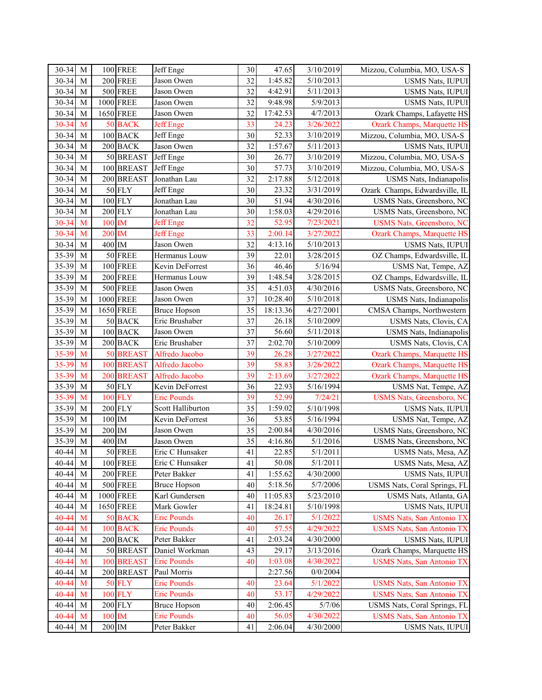| $30 - 34$ | M            |          | $100$ FREE    | Jeff Enge           | 30 | 47.65    | 3/10/2019 | Mizzou, Columbia, MO, USA-S       |
|-----------|--------------|----------|---------------|---------------------|----|----------|-----------|-----------------------------------|
| 30-34     | M            |          | $200$ FREE    | Jason Owen          | 32 | 1:45.82  | 5/10/2013 | <b>USMS Nats, IUPUI</b>           |
| 30-34     | M            |          | $500$ FREE    | Jason Owen          | 32 | 4:42.91  | 5/11/2013 | <b>USMS Nats, IUPUI</b>           |
| 30-34     | M            |          | 1000 FREE     | Jason Owen          | 32 | 9:48.98  | 5/9/2013  | <b>USMS Nats, IUPUI</b>           |
| 30-34     | M            |          | 1650 FREE     | Jason Owen          | 32 | 17:42.53 | 4/7/2013  | Ozark Champs, Lafayette HS        |
| $30 - 34$ | M            | 50       | <b>BACK</b>   | <b>Jeff</b> Enge    | 33 | 24.23    | 3/26/2022 | <b>Ozark Champs, Marquette HS</b> |
| 30-34     | M            |          | $100$ BACK    | Jeff Enge           | 30 | 52.33    | 3/10/2019 | Mizzou, Columbia, MO, USA-S       |
| 30-34     | $\mathbf{M}$ |          | $200$ BACK    | Jason Owen          | 32 | 1:57.67  | 5/11/2013 | <b>USMS Nats, IUPUI</b>           |
| 30-34     | M            |          | 50 BREAST     | Jeff Enge           | 30 | 26.77    | 3/10/2019 | Mizzou, Columbia, MO, USA-S       |
| 30-34     | M            |          | 100 BREAST    | Jeff Enge           | 30 | 57.73    | 3/10/2019 | Mizzou, Columbia, MO, USA-S       |
| 30-34     | $\mathbf{M}$ |          | 200 BREAST    | Jonathan Lau        | 32 | 2:17.88  | 5/12/2018 | USMS Nats, Indianapolis           |
| 30-34     | $\mathbf{M}$ |          | $50$ FLY      | Jeff Enge           | 30 | 23.32    | 3/31/2019 | Ozark Champs, Edwardsville, IL    |
| 30-34     | M            |          | $100$ FLY     | Jonathan Lau        | 30 | 51.94    | 4/30/2016 | USMS Nats, Greensboro, NC         |
| 30-34     | $\mathbf{M}$ |          | $200$ FLY     | Jonathan Lau        | 30 | 1:58.03  | 4/29/2016 | USMS Nats, Greensboro, NC         |
| 30-34     | M            | 100      | <b>IM</b>     | <b>Jeff</b> Enge    | 32 | 52.95    | 7/23/2021 | USMS Nats, Greensboro, NC         |
| 30-34     | M            | 200      | <b>IM</b>     | <b>Jeff</b> Enge    | 33 | 2:00.14  | 3/27/2022 | Ozark Champs, Marquette HS        |
| 30-34     | M            | 400      | $\rm IM$      | Jason Owen          | 32 | 4:13.16  | 5/10/2013 | <b>USMS Nats, IUPUI</b>           |
| 35-39     | M            |          | 50 FREE       | Hermanus Louw       | 39 | 22.01    | 3/28/2015 | OZ Champs, Edwardsville, IL       |
| 35-39     | M            |          | $100$ FREE    | Kevin DeForrest     | 36 | 46.46    | 5/16/94   | USMS Nat, Tempe, AZ               |
| 35-39     | $\mathbf{M}$ |          | $200$ FREE    | Hermanus Louw       | 39 | 1:48.54  | 3/28/2015 | OZ Champs, Edwardsville, IL       |
| 35-39     | M            |          | 500 FREE      | Jason Owen          | 35 | 4:51.03  | 4/30/2016 | USMS Nats, Greensboro, NC         |
| 35-39     | $\mathbf{M}$ |          | 1000 FREE     | Jason Owen          | 37 | 10:28.40 | 5/10/2018 | USMS Nats, Indianapolis           |
| 35-39     | $\mathbf{M}$ |          | 1650 FREE     | <b>Bruce Hopson</b> | 35 | 18:13.36 | 4/27/2001 | CMSA Champs, Northwestern         |
| 35-39     | $\mathbf{M}$ |          | 50 BACK       | Eric Brushaber      | 37 | 26.18    | 5/10/2009 | USMS Nats, Clovis, CA             |
| 35-39     | M            |          | $100$ BACK    | Jason Owen          | 37 | 56.60    | 5/11/2018 | USMS Nats, Indianapolis           |
| 35-39     | M            |          | $200$ BACK    | Eric Brushaber      | 37 | 2:02.70  | 5/10/2009 | USMS Nats, Clovis, CA             |
| 35-39     | M            |          | 50 BREAST     | Alfredo Jacobo      | 39 | 26.28    | 3/27/2022 | <b>Ozark Champs, Marquette HS</b> |
| 35-39     | M            |          | 100 BREAST    | Alfredo Jacobo      | 39 | 58.83    | 3/26/2022 | <b>Ozark Champs, Marquette HS</b> |
| 35-39     | M            |          | 200 BREAST    | Alfredo Jacobo      | 39 | 2:13.69  | 3/27/2022 | <b>Ozark Champs, Marquette HS</b> |
| 35-39     | M            |          | $50$ FLY      | Kevin DeForrest     | 36 | 22.93    | 5/16/1994 | USMS Nat, Tempe, AZ               |
| 35-39     | M            |          | 100 FLY       | <b>Eric Pounds</b>  | 39 | 52.99    | 7/24/21   | USMS Nats, Greensboro, NC         |
| 35-39     | $\mathbf{M}$ |          | $200$ FLY     | Scott Halliburton   | 35 | 1:59.02  | 5/10/1998 | <b>USMS Nats, IUPUI</b>           |
| 35-39     | $\mathbf{M}$ | 100      | $\mathbf{IM}$ | Kevin DeForrest     | 36 | 53.85    | 5/16/1994 | USMS Nat, Tempe, AZ               |
| 35-39     | $\mathbf M$  | $200$ IM |               | Jason Owen          | 35 | 2:00.84  | 4/30/2016 | USMS Nats, Greensboro, NC         |
| 35-39     | M            | $400$ IM |               | Jason Owen          | 35 | 4:16.86  | 5/1/2016  | USMS Nats, Greensboro, NC         |
| 40-44     | M            |          | 50 FREE       | Eric C Hunsaker     | 41 | 22.85    | 5/1/2011  | USMS Nats, Mesa, AZ               |
| $40 - 44$ | $\mathbf M$  |          | $100$ FREE    | Eric C Hunsaker     | 41 | 50.08    | 5/1/2011  | USMS Nats, Mesa, AZ               |
| $40 - 44$ | M            |          | $200$ FREE    | Peter Bakker        | 41 | 1:55.62  | 4/30/2000 | <b>USMS Nats, IUPUI</b>           |
| $40 - 44$ | $\mathbf M$  |          | 500 FREE      | <b>Bruce Hopson</b> | 40 | 5:18.56  | 5/7/2006  | USMS Nats, Coral Springs, FL      |
| $40 - 44$ | M            |          | 1000 FREE     | Karl Gundersen      | 40 | 11:05.83 | 5/23/2010 | USMS Nats, Atlanta, GA            |
| $40 - 44$ | M            |          | 1650 FREE     | Mark Gowler         | 41 | 18:24.81 | 5/10/1998 | <b>USMS Nats, IUPUI</b>           |
| 40-44     | M            |          | 50 BACK       | <b>Eric Pounds</b>  | 40 | 26.17    | 5/1/2022  | <b>USMS Nats, San Antonio TX</b>  |
| 40-44     | M            |          | 100 BACK      | <b>Eric Pounds</b>  | 40 | 57.55    | 4/29/2022 | USMS Nats, San Antonio TX         |
| $40 - 44$ | M            |          | $200$ BACK    | Peter Bakker        | 41 | 2:03.24  | 4/30/2000 | <b>USMS Nats, IUPUI</b>           |
| $40 - 44$ | M            |          | 50 BREAST     | Daniel Workman      | 43 | 29.17    | 3/13/2016 | Ozark Champs, Marquette HS        |
| 40-44     | $\mathbf{M}$ |          | 100 BREAST    | <b>Eric Pounds</b>  | 40 | 1:03.08  | 4/30/2022 | <b>USMS Nats, San Antonio TX</b>  |
| $40 - 44$ | $\mathbf{M}$ |          | 200 BREAST    | Paul Morris         |    | 2:27.56  | 0/0/2004  |                                   |
| 40-44     | M            |          | $50$ FLY      | <b>Eric Pounds</b>  | 40 | 23.64    | 5/1/2022  | <b>USMS Nats, San Antonio TX</b>  |
| 40-44     | M            |          | 100 FLY       | <b>Eric Pounds</b>  | 40 | 53.17    | 4/29/2022 | <b>USMS Nats, San Antonio TX</b>  |
| $40 - 44$ | M            |          | $200$ FLY     | <b>Bruce Hopson</b> | 40 | 2:06.45  | 5/7/06    | USMS Nats, Coral Springs, FL      |
| 40-44     | M            | $100$ IM |               | <b>Eric Pounds</b>  | 40 | 56.05    | 4/30/2022 | <b>USMS Nats, San Antonio TX</b>  |
| 40-44     | M            | $200$ IM |               | Peter Bakker        | 41 | 2:06.04  | 4/30/2000 | <b>USMS Nats, IUPUI</b>           |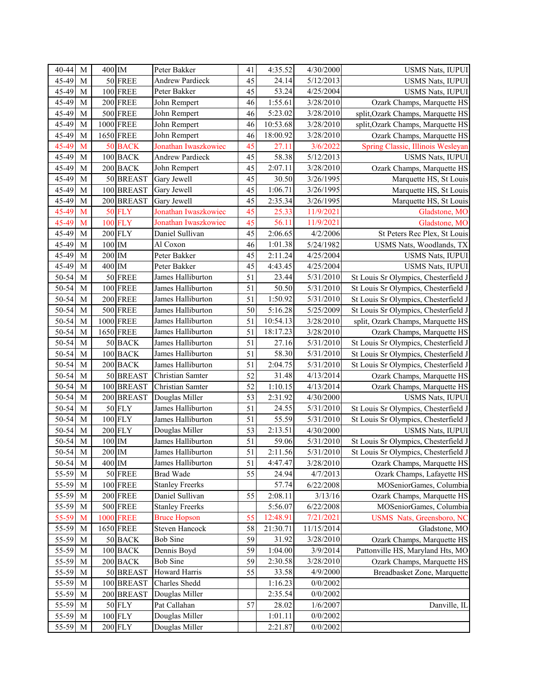| 40-44     | $\mathbf M$  | $400$ IM |                            | Peter Bakker           | 41 | 4:35.52  | 4/30/2000  | USMS Nats, IUPUI                     |
|-----------|--------------|----------|----------------------------|------------------------|----|----------|------------|--------------------------------------|
| 45-49     | M            |          | 50 FREE                    | <b>Andrew Pardieck</b> | 45 | 24.14    | 5/12/2013  | <b>USMS Nats, IUPUI</b>              |
| 45-49     | M            |          | $100$ FREE                 | Peter Bakker           | 45 | 53.24    | 4/25/2004  | <b>USMS Nats, IUPUI</b>              |
| 45-49     | M            |          | $200$ FREE                 | John Rempert           | 46 | 1:55.61  | 3/28/2010  | Ozark Champs, Marquette HS           |
| 45-49     | M            |          | $500$ FREE                 | John Rempert           | 46 | 5:23.02  | 3/28/2010  | split, Ozark Champs, Marquette HS    |
| 45-49     | M            |          | 1000 FREE                  | John Rempert           | 46 | 10:53.68 | 3/28/2010  | split, Ozark Champs, Marquette HS    |
| 45-49     | $\mathbf{M}$ |          | 1650 FREE                  | John Rempert           | 46 | 18:00.92 | 3/28/2010  | Ozark Champs, Marquette HS           |
| 45-49     | M            |          | 50 BACK                    | Jonathan Iwaszkowiec   | 45 | 27.11    | 3/6/2022   | Spring Classic, Illinois Wesleyan    |
| 45-49     | M            |          | $100$ BACK                 | <b>Andrew Pardieck</b> | 45 | 58.38    | 5/12/2013  | <b>USMS Nats, IUPUI</b>              |
| 45-49     | M            |          | $200$ BACK                 | John Rempert           | 45 | 2:07.11  | 3/28/2010  | Ozark Champs, Marquette HS           |
| 45-49     | $\mathbf{M}$ |          | 50 BREAST                  | Gary Jewell            | 45 | 30.50    | 3/26/1995  | Marquette HS, St Louis               |
| 45-49     | M            |          | 100 BREAST                 | Gary Jewell            | 45 | 1:06.71  | 3/26/1995  | Marquette HS, St Louis               |
| 45-49     | M            |          | 200 BREAST                 | Gary Jewell            | 45 | 2:35.34  | 3/26/1995  | Marquette HS, St Louis               |
| 45-49     | M            |          | $50$ FLY                   | Jonathan Iwaszkowiec   | 45 | 25.33    | 11/9/2021  | Gladstone, MO                        |
| 45-49     | M            |          | 100 FLY                    | Jonathan Iwaszkowiec   | 45 | 56.11    | 11/9/2021  | Gladstone, MO                        |
| 45-49     | $\mathbf{M}$ |          | $200$ FLY                  | Daniel Sullivan        | 45 | 2:06.65  | 4/2/2006   | St Peters Rec Plex, St Louis         |
| 45-49     | $\mathbf{M}$ | 100      | $\mathop{\rm IM}\nolimits$ | Al Coxon               | 46 | 1:01.38  | 5/24/1982  | USMS Nats, Woodlands, TX             |
| 45-49     | M            | 200      | $\rm IM$                   | Peter Bakker           | 45 | 2:11.24  | 4/25/2004  | USMS Nats, IUPUI                     |
| 45-49     | $\mathbf{M}$ | 400      | IM                         | Peter Bakker           | 45 | 4:43.45  | 4/25/2004  | <b>USMS Nats, IUPUI</b>              |
| 50-54     | M            |          | 50 FREE                    | James Halliburton      | 51 | 23.44    | 5/31/2010  | St Louis Sr Olympics, Chesterfield J |
| 50-54     | $\mathbf{M}$ |          | $100$ FREE                 | James Halliburton      | 51 | 50.50    | 5/31/2010  | St Louis Sr Olympics, Chesterfield J |
| 50-54     | $\mathbf{M}$ |          | $200$ FREE                 | James Halliburton      | 51 | 1:50.92  | 5/31/2010  | St Louis Sr Olympics, Chesterfield J |
| 50-54     | $\mathbf{M}$ |          | $500$ FREE                 | James Halliburton      | 50 | 5:16.28  | 5/25/2009  | St Louis Sr Olympics, Chesterfield J |
| $50 - 54$ | M            |          | 1000 FREE                  | James Halliburton      | 51 | 10:54.13 | 3/28/2010  | split, Ozark Champs, Marquette HS    |
| 50-54     | $\mathbf{M}$ | 1650     | <b>FREE</b>                | James Halliburton      | 51 | 18:17.23 | 3/28/2010  | Ozark Champs, Marquette HS           |
| 50-54     | $\mathbf{M}$ |          | 50 BACK                    | James Halliburton      | 51 | 27.16    | 5/31/2010  | St Louis Sr Olympics, Chesterfield J |
| 50-54     | M            |          | $100$ BACK                 | James Halliburton      | 51 | 58.30    | 5/31/2010  | St Louis Sr Olympics, Chesterfield J |
| 50-54     | $\mathbf{M}$ |          | $200$ BACK                 | James Halliburton      | 51 | 2:04.75  | 5/31/2010  | St Louis Sr Olympics, Chesterfield J |
| 50-54     | $\mathbf{M}$ |          | 50 BREAST                  | Christian Samter       | 52 | 31.48    | 4/13/2014  | Ozark Champs, Marquette HS           |
| 50-54     | M            |          | 100 BREAST                 | Christian Samter       | 52 | 1:10.15  | 4/13/2014  | Ozark Champs, Marquette HS           |
| 50-54     | M            |          | 200 BREAST                 | Douglas Miller         | 53 | 2:31.92  | 4/30/2000  | <b>USMS Nats, IUPUI</b>              |
| $50 - 54$ | M            |          | $50$ FLY                   | James Halliburton      | 51 | 24.55    | 5/31/2010  | St Louis Sr Olympics, Chesterfield J |
| 50-54     | M            |          | $100$ FLY                  | James Halliburton      | 51 | 55.59    | 5/31/2010  | St Louis Sr Olympics, Chesterfield J |
| 50-54     | $\mathbf{M}$ |          | $200$ FLY                  | Douglas Miller         | 53 | 2:13.51  | 4/30/2000  | <b>USMS Nats, IUPUI</b>              |
| 50-54     | M            | $100$ IM |                            | James Halliburton      | 51 | 59.06    | 5/31/2010  | St Louis Sr Olympics, Chesterfield J |
| 50-54     | $\mathbf{M}$ | $200$ IM |                            | James Halliburton      | 51 | 2:11.56  | 5/31/2010  | St Louis Sr Olympics, Chesterfield J |
| $50 - 54$ | M            | $400$ IM |                            | James Halliburton      | 51 | 4:47.47  | 3/28/2010  | Ozark Champs, Marquette HS           |
| 55-59     | M            |          | $50$ FREE                  | Brad Wade              | 55 | 24.94    | 4/7/2013   | Ozark Champs, Lafayette HS           |
| 55-59     | M            |          | $100$ FREE                 | <b>Stanley Freerks</b> |    | 57.74    | 6/22/2008  | MOSeniorGames, Columbia              |
| 55-59     | $\mathbf M$  |          | $200$ FREE                 | Daniel Sullivan        | 55 | 2:08.11  | 3/13/16    | Ozark Champs, Marquette HS           |
| 55-59     | $\mathbf M$  |          | 500 FREE                   | <b>Stanley Freerks</b> |    | 5:56.07  | 6/22/2008  | MOSeniorGames, Columbia              |
| 55-59     | M            | 1000     | FREE                       | <b>Bruce Hopson</b>    | 55 | 12:48.91 | 7/21/2021  | USMS Nats, Greensboro, NC            |
| 55-59     | $\mathbf{M}$ |          | 1650 FREE                  | Steven Hancock         | 58 | 21:30.71 | 11/15/2014 | Gladstone, MO                        |
| 55-59     | $\mathbf M$  |          | $50$ BACK                  | <b>Bob Sine</b>        | 59 | 31.92    | 3/28/2010  | Ozark Champs, Marquette HS           |
| 55-59     | $\mathbf{M}$ |          | $100$ BACK                 | Dennis Boyd            | 59 | 1:04.00  | 3/9/2014   | Pattonville HS, Maryland Hts, MO     |
| 55-59     | M            |          | $200$ BACK                 | <b>Bob Sine</b>        | 59 | 2:30.58  | 3/28/2010  | Ozark Champs, Marquette HS           |
| 55-59     | $\mathbf M$  |          | 50 BREAST                  | Howard Harris          | 55 | 33.58    | 4/9/2000   | Breadbasket Zone, Marquette          |
| 55-59     | $\mathbf M$  |          | 100 BREAST                 | Charles Shedd          |    | 1:16.23  | 0/0/2002   |                                      |
| 55-59     | M            |          | 200 BREAST                 | Douglas Miller         |    | 2:35.54  | 0/0/2002   |                                      |
| 55-59     | M            |          | $50$ FLY                   | Pat Callahan           | 57 | 28.02    | 1/6/2007   | Danville, IL                         |
| 55-59     | $\mathbf M$  |          | $100$ FLY                  | Douglas Miller         |    | 1:01.11  | 0/0/2002   |                                      |
| 55-59     | M            |          | $200$ FLY                  | Douglas Miller         |    | 2:21.87  | 0/0/2002   |                                      |
|           |              |          |                            |                        |    |          |            |                                      |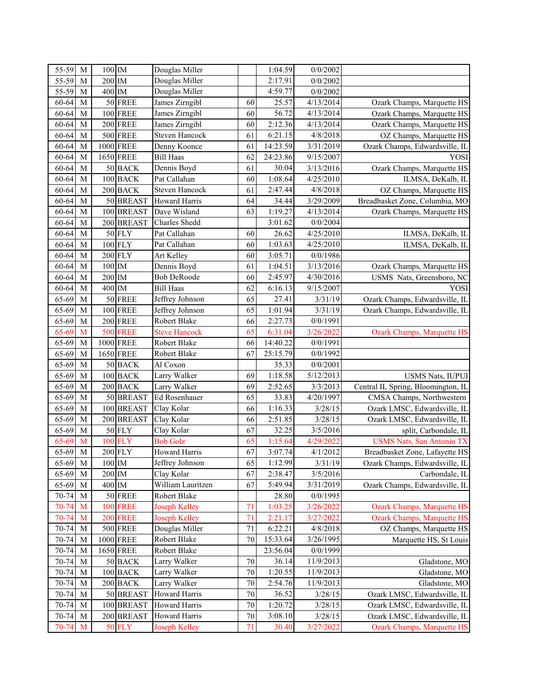| 55-59     | M            | $100$ IM |                 | Douglas Miller            |        | 1:04.59  | 0/0/2002  |                                    |
|-----------|--------------|----------|-----------------|---------------------------|--------|----------|-----------|------------------------------------|
| 55-59     | M            | $200$ IM |                 | Douglas Miller            |        | 2:17.91  | 0/0/2002  |                                    |
| 55-59     | $\mathbf M$  | $400$ IM |                 | Douglas Miller            |        | 4:59.77  | 0/0/2002  |                                    |
| $60 - 64$ | $\mathbf M$  |          | 50 FREE         | James Zirngibl            | 60     | 25.57    | 4/13/2014 | Ozark Champs, Marquette HS         |
| 60-64     | $\mathbf M$  |          | $100$ FREE      | James Zirngibl            | 60     | 56.72    | 4/13/2014 | Ozark Champs, Marquette HS         |
| 60-64     | $\mathbf M$  |          | $200$ FREE      | James Zirngibl            | 60     | 2:12.36  | 4/13/2014 | Ozark Champs, Marquette HS         |
| 60-64     | $\mathbf M$  |          | $500$ FREE      | <b>Steven Hancock</b>     | 61     | 6:21.15  | 4/8/2018  | OZ Champs, Marquette HS            |
| $60 - 64$ | $\mathbf M$  |          | 1000 FREE       | Denny Koonce              | 61     | 14:23.59 | 3/31/2019 | Ozark Champs, Edwardsville, IL     |
| 60-64     | $\mathbf{M}$ |          | 1650 FREE       | <b>Bill Haas</b>          | 62     | 24:23.86 | 9/15/2007 | YOSI                               |
| 60-64     | $\mathbf M$  |          | $50$ BACK       | Dennis Boyd               | 61     | 30.04    | 3/13/2016 | Ozark Champs, Marquette HS         |
| 60-64     | $\mathbf M$  |          | $100$ BACK      | Pat Callahan              | 60     | 1:08.64  | 4/25/2010 | ILMSA, DeKalb, IL                  |
| 60-64     | $\mathbf M$  |          | $200$ BACK      | Steven Hancock            | 61     | 2:47.44  | 4/8/2018  | OZ Champs, Marquette HS            |
| 60-64     | $\mathbf M$  |          | 50 BREAST       | Howard Harris             | 64     | 34.44    | 3/29/2009 | Breadbasket Zone, Columbia, MO     |
| 60-64     | $\mathbf M$  |          | $100$ BREAST    | Dave Wisland              | 63     | 1:19.27  | 4/13/2014 | Ozark Champs, Marquette HS         |
| 60-64     | $\mathbf M$  |          | 200 BREAST      | Charles Shedd             |        | 3:01.62  | 0/0/2004  |                                    |
| 60-64     | $\mathbf M$  |          | $50$ FLY        | Pat Callahan              | 60     | 26.62    | 4/25/2010 | ILMSA, DeKalb, IL                  |
| $60 - 64$ | $\mathbf M$  |          | $100$ FLY       | Pat Callahan              | 60     | 1:03.63  | 4/25/2010 | ILMSA, DeKalb, IL                  |
| 60-64     | $\mathbf M$  |          | $200$ FLY       |                           | 60     | 3:05.71  | 0/0/1986  |                                    |
| 60-64     | $\mathbf M$  | $100$ IM |                 | Art Kelley<br>Dennis Boyd | 61     | 1:04.51  | 3/13/2016 | Ozark Champs, Marquette HS         |
|           |              | $200$ IM |                 |                           |        |          |           |                                    |
| $60 - 64$ | $\mathbf M$  | $400$ IM |                 | <b>Bob DeRoode</b>        | 60     | 2:45.97  | 4/30/2016 | USMS Nats, Greensboro, NC          |
| $60 - 64$ | $\mathbf M$  |          |                 | <b>Bill Haas</b>          | 62     | 6:16.13  | 9/15/2007 | YOSI                               |
| 65-69     | $\mathbf M$  |          | 50 FREE         | Jeffrey Johnson           | 65     | 27.41    | 3/31/19   | Ozark Champs, Edwardsville, IL     |
| 65-69     | $\mathbf M$  |          | $100$ FREE      | Jeffrey Johnson           | 65     | 1:01.94  | 3/31/19   | Ozark Champs, Edwardsville, IL     |
| 65-69     | $\mathbf M$  |          | $200$ FREE      | Robert Blake              | 66     | 2:27.73  | 0/0/1991  |                                    |
| $65 - 69$ | M            | 500      | FREE            | <b>Steve Hancock</b>      | 65     | 6:31.04  | 3/26/2022 | <b>Ozark Champs, Marquette HS</b>  |
| 65-69     | $\mathbf M$  |          | 1000 FREE       | Robert Blake              | 66     | 14:40.22 | 0/0/1991  |                                    |
| 65-69     | M            |          | 1650 FREE       | Robert Blake              | 67     | 25:15.79 | 0/0/1992  |                                    |
| 65-69     | $\mathbf M$  |          | $50$ BACK       | Al Coxon                  |        | 35.33    | 0/0/2001  |                                    |
| 65-69     | $\mathbf M$  |          | $100$ BACK      | Larry Walker              | 69     | 1:18.58  | 5/12/2013 | <b>USMS Nats, IUPUI</b>            |
| 65-69     | $\mathbf M$  |          | $200$ BACK      | Larry Walker              | 69     | 2:52.65  | 3/3/2013  | Central IL Spring, Bloomington, IL |
| 65-69     | $\mathbf M$  |          | 50 BREAST       | Ed Rosenhauer             | 65     | 33.83    | 4/20/1997 | CMSA Champs, Northwestern          |
| 65-69     | $\mathbf M$  |          | 100 BREAST      | Clay Kolar                | 66     | 1:16.33  | 3/28/15   | Ozark LMSC, Edwardsville, IL       |
| 65-69     | $\mathbf M$  |          | 200 BREAST      | Clay Kolar                | 66     | 2:51.85  | 3/28/15   | Ozark LMSC, Edwardsville, IL       |
| 65-69     | $\mathbf M$  |          | $50$ FLY        | Clay Kolar                | 67     | 32.25    | 3/5/2016  | split, Carbondale, IL              |
| 65-69     | M            |          | 100 FLY         | <b>Bob Golz</b>           | 65     | 1:15.64  | 4/29/2022 | <b>USMS Nats, San Antonio TX</b>   |
| $65 - 69$ | $\mathbf M$  |          | $200$ FLY       | Howard Harris             | 67     | 3:07.74  | 4/1/2012  | Breadbasket Zone, Lafayette HS     |
| 65-69     | M            | $100$ IM |                 | Jeffrey Johnson           | 65     | 1:12.99  | 3/31/19   | Ozark Champs, Edwardsville, IL     |
| 65-69     | $\mathbf M$  | $200$ IM |                 | Clay Kolar                | 67     | 2:38.47  | 3/5/2016  | Carbondale, IL                     |
| 65-69     | $\mathbf M$  | $400$ IM |                 | William Lauritzen         | 67     | 5:49.94  | 3/31/2019 | Ozark Champs, Edwardsville, IL     |
| 70-74     | $\mathbf M$  |          | $50$ FREE       | Robert Blake              |        | 28.80    | 0/0/1995  |                                    |
| 70-74     | M            |          | <b>100 FREE</b> | <b>Joseph Kelley</b>      | 71     | 1:03.25  | 3/26/2022 | <b>Ozark Champs, Marquette HS</b>  |
| $70 - 74$ | M            |          | <b>200 FREE</b> | <b>Joseph Kelley</b>      | 71     | 2:21.17  | 3/27/2022 | <b>Ozark Champs, Marquette HS</b>  |
| 70-74     | $\mathbf M$  |          | $500$ FREE      | Douglas Miller            | $71\,$ | 6:22.21  | 4/8/2018  | OZ Champs, Marquette HS            |
| $70 - 74$ | $\mathbf M$  |          | $1000$ FREE     | Robert Blake              | 70     | 15:33.64 | 3/26/1995 | Marquette HS, St Louis             |
| $70 - 74$ | $\mathbf M$  |          | 1650 FREE       | Robert Blake              |        | 23:56.04 | 0/0/1999  |                                    |
| 70-74     | $\mathbf M$  |          | $50$ BACK       | Larry Walker              | $70\,$ | 36.14    | 11/9/2013 | Gladstone, MO                      |
| $70 - 74$ | $\mathbf M$  |          | $100$ BACK      | Larry Walker              | $70\,$ | 1:20.55  | 11/9/2013 | Gladstone, MO                      |
| $70 - 74$ | $\mathbf M$  |          | $200$ BACK      | Larry Walker              | 70     | 2:54.76  | 11/9/2013 | Gladstone, MO                      |
| 70-74     | M            |          | 50 BREAST       | Howard Harris             | $70\,$ | 36.52    | 3/28/15   | Ozark LMSC, Edwardsville, IL       |
| 70-74     | $\mathbf M$  |          | 100 BREAST      | Howard Harris             | 70     | 1:20.72  | 3/28/15   | Ozark LMSC, Edwardsville, IL       |
| 70-74     | $\mathbf M$  |          | 200 BREAST      | Howard Harris             | 70     | 3:08.10  | 3/28/15   | Ozark LMSC, Edwardsville, IL       |
| $70 - 74$ | $\mathbf M$  |          | $50$ FLY        | <b>Joseph Kelley</b>      | 71     | 30.40    | 3/27/2022 | Ozark Champs, Marquette HS         |
|           |              |          |                 |                           |        |          |           |                                    |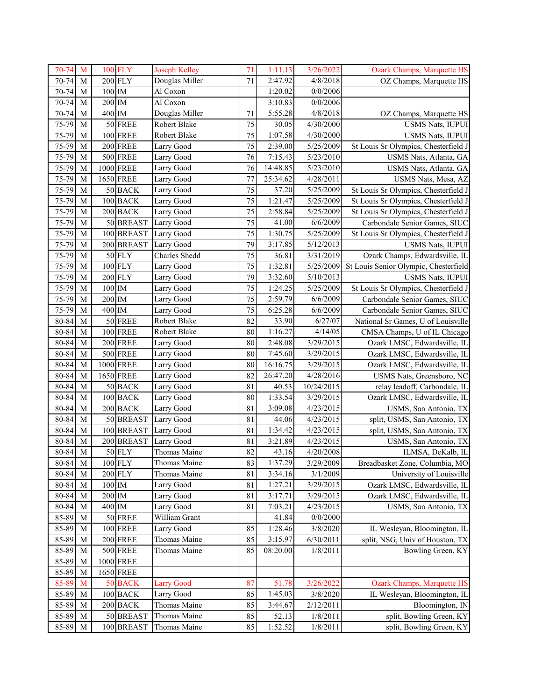| $70 - 74$ | M            |          | 100 FLY    | <b>Joseph Kelley</b> | 71 | 1:11.13  | 3/26/2022  | Ozark Champs, Marquette HS            |
|-----------|--------------|----------|------------|----------------------|----|----------|------------|---------------------------------------|
| 70-74     | M            |          | $200$ FLY  | Douglas Miller       | 71 | 2:47.92  | 4/8/2018   | OZ Champs, Marquette HS               |
| 70-74     | $\mathbf M$  | $100$ IM |            | Al Coxon             |    | 1:20.02  | 0/0/2006   |                                       |
| 70-74     | M            | $200$ IM |            | Al Coxon             |    | 3:10.83  | 0/0/2006   |                                       |
| 70-74     | M            | $400$ IM |            | Douglas Miller       | 71 | 5:55.28  | 4/8/2018   | OZ Champs, Marquette HS               |
| 75-79     | $\mathbf M$  |          | $50$ FREE  | Robert Blake         | 75 | 30.05    | 4/30/2000  | <b>USMS Nats, IUPUI</b>               |
| 75-79     | M            |          | $100$ FREE | Robert Blake         | 75 | 1:07.58  | 4/30/2000  | <b>USMS Nats, IUPUI</b>               |
| 75-79     | M            |          | $200$ FREE | Larry Good           | 75 | 2:39.00  | 5/25/2009  | St Louis Sr Olympics, Chesterfield J  |
| 75-79     | M            |          | 500 FREE   | Larry Good           | 76 | 7:15.43  | 5/23/2010  | USMS Nats, Atlanta, GA                |
| 75-79     | M            |          | 1000 FREE  | Larry Good           | 76 | 14:48.85 | 5/23/2010  | USMS Nats, Atlanta, GA                |
| 75-79     | $\mathbf M$  |          | 1650 FREE  | Larry Good           | 77 | 25:34.62 | 4/28/2011  | USMS Nats, Mesa, AZ                   |
| 75-79     | M            |          | 50 BACK    | Larry Good           | 75 | 37.20    | 5/25/2009  | St Louis Sr Olympics, Chesterfield J  |
| 75-79     | M            |          | $100$ BACK | Larry Good           | 75 | 1:21.47  | 5/25/2009  | St Louis Sr Olympics, Chesterfield J  |
| 75-79     | M            |          | $200$ BACK | Larry Good           | 75 | 2:58.84  | 5/25/2009  | St Louis Sr Olympics, Chesterfield J  |
| 75-79     | M            |          | 50 BREAST  | Larry Good           | 75 | 41.00    | 6/6/2009   | Carbondale Senior Games, SIUC         |
| 75-79     | $\mathbf M$  |          | 100 BREAST | Larry Good           | 75 | 1:30.75  | 5/25/2009  | St Louis Sr Olympics, Chesterfield J  |
| 75-79     | $\mathbf M$  |          | 200 BREAST | Larry Good           | 79 | 3:17.85  | 5/12/2013  | USMS Nats, IUPUI                      |
| 75-79     | M            |          | $50$ FLY   | Charles Shedd        | 75 | 36.81    | 3/31/2019  | Ozark Champs, Edwardsville, IL        |
| 75-79     | $\mathbf M$  |          | $100$ FLY  | Larry Good           | 75 | 1:32.81  | 5/25/2009  | St Louis Senior Olympic, Chesterfield |
| 75-79     | M            |          | $200$ FLY  | Larry Good           | 79 | 3:32.60  | 5/10/2013  | USMS Nats, IUPUI                      |
| 75-79     | M            | $100$ M  |            | Larry Good           | 75 | 1:24.25  | 5/25/2009  | St Louis Sr Olympics, Chesterfield J  |
| 75-79     | $\mathbf M$  | $200$ IM |            | Larry Good           | 75 | 2:59.79  | 6/6/2009   | Carbondale Senior Games, SIUC         |
| 75-79     | M            | $400$ IM |            | Larry Good           | 75 | 6:25.28  | 6/6/2009   | Carbondale Senior Games, SIUC         |
| 80-84     | $\mathbf M$  |          | 50 FREE    | Robert Blake         | 82 | 33.90    | 6/27/07    | National Sr Games, U of Louisville    |
| 80-84     | $\mathbf M$  |          | $100$ FREE | Robert Blake         | 80 | 1:16.27  | 4/14/05    | CMSA Champs, U of IL Chicago          |
| 80-84     | $\mathbf M$  |          | $200$ FREE | Larry Good           | 80 | 2:48.08  | 3/29/2015  | Ozark LMSC, Edwardsville, IL          |
| 80-84     | M            |          | 500 FREE   | Larry Good           | 80 | 7:45.60  | 3/29/2015  | Ozark LMSC, Edwardsville, IL          |
| 80-84     | M            |          | 1000 FREE  | Larry Good           | 80 | 16:16.75 | 3/29/2015  | Ozark LMSC, Edwardsville, IL          |
| 80-84     | M            |          | 1650 FREE  | Larry Good           | 82 | 26:47.20 | 4/28/2016  | USMS Nats, Greensboro, NC             |
| 80-84     | M            |          | 50 BACK    | Larry Good           | 81 | 40.53    | 10/24/2015 | relay leadoff, Carbondale, IL         |
| 80-84     | M            |          | $100$ BACK | Larry Good           | 80 | 1:33.54  | 3/29/2015  | Ozark LMSC, Edwardsville, IL          |
| 80-84     | M            |          | $200$ BACK | Larry Good           | 81 | 3:09.08  | 4/23/2015  | USMS, San Antonio, TX                 |
| 80-84     | M            |          | 50 BREAST  | Larry Good           | 81 | 44.06    | 4/23/2015  | split, USMS, San Antonio, TX          |
| 80-84     | $\mathbf{M}$ |          | 100 BREAST | Larry Good           | 81 | 1:34.42  | 4/23/2015  | split, USMS, San Antonio, TX          |
| 80-84     | $\mathbf{M}$ |          | 200 BREAST | Larry Good           | 81 | 3:21.89  | 4/23/2015  | USMS, San Antonio, TX                 |
| 80-84     | $\mathbf M$  |          | $50$ FLY   | Thomas Maine         | 82 | 43.16    | 4/20/2008  | ILMSA, DeKalb, IL                     |
| $80 - 84$ | M            |          | 100 FLY    | Thomas Maine         | 83 | 1:37.29  | 3/29/2009  | Breadbasket Zone, Columbia, MO        |
| 80-84     | M            |          | $200$ FLY  | Thomas Maine         | 81 | 3:34.16  | 3/1/2009   | University of Louisville              |
| 80-84     | M            | $100$ IM |            | Larry Good           | 81 | 1:27.21  | 3/29/2015  | Ozark LMSC, Edwardsville, IL          |
| 80-84     | M            | $200$ IM |            | Larry Good           | 81 | 3:17.71  | 3/29/2015  | Ozark LMSC, Edwardsville, IL          |
| 80-84     | M            | $400$ IM |            | Larry Good           | 81 | 7:03.21  | 4/23/2015  | USMS, San Antonio, TX                 |
| 85-89     | $\mathbf M$  |          | 50 FREE    | William Grant        |    | 41.84    | 0/0/2000   |                                       |
| 85-89     | $\mathbf M$  |          | $100$ FREE | Larry Good           | 85 | 1:28.46  | 3/8/2020   | IL Wesleyan, Bloomington, IL          |
| 85-89     | $\mathbf M$  |          | $200$ FREE | Thomas Maine         | 85 | 3:15.97  | 6/30/2011  | split, NSG, Univ of Houston, TX       |
| 85-89     | $\mathbf M$  |          | 500 FREE   | Thomas Maine         | 85 | 08:20.00 | 1/8/2011   | Bowling Green, KY                     |
| 85-89     | $\mathbf M$  |          | 1000 FREE  |                      |    |          |            |                                       |
| 85-89     | $\mathbf M$  |          | 1650 FREE  |                      |    |          |            |                                       |
| 85-89     | M            |          | 50 BACK    | <b>Larry Good</b>    | 87 | 51.78    | 3/26/2022  | <b>Ozark Champs, Marquette HS</b>     |
| 85-89     | M            |          | $100$ BACK | Larry Good           | 85 | 1:45.03  | 3/8/2020   | IL Wesleyan, Bloomington, IL          |
| 85-89     | M            |          | $200$ BACK | Thomas Maine         | 85 | 3:44.67  | 2/12/2011  | Bloomington, IN                       |
| 85-89     | M            |          | 50 BREAST  | Thomas Maine         | 85 | 52.13    | 1/8/2011   | split, Bowling Green, KY              |
| 85-89     | M            |          | 100 BREAST | Thomas Maine         | 85 | 1:52.52  | 1/8/2011   | split, Bowling Green, KY              |